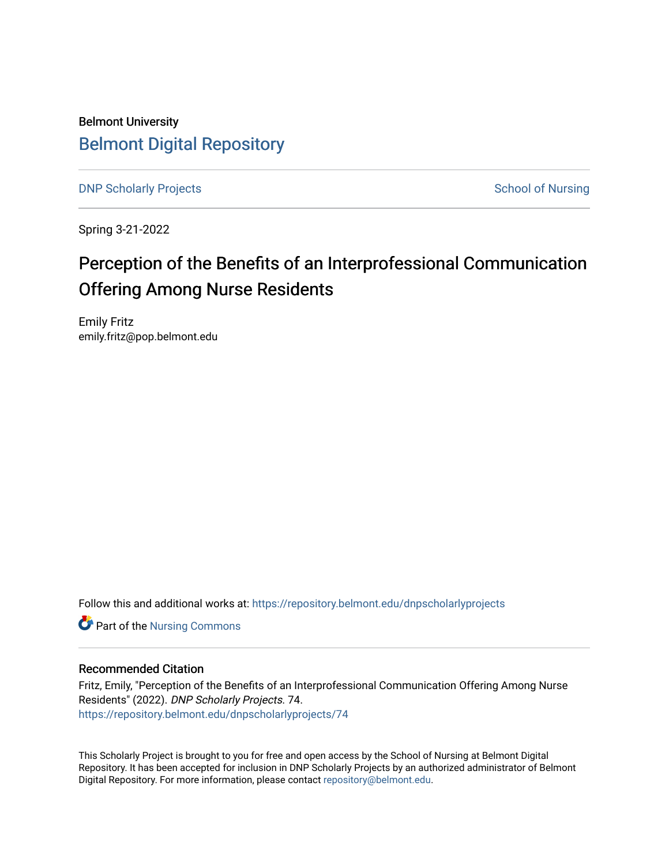Belmont University [Belmont Digital Repository](https://repository.belmont.edu/)

[DNP Scholarly Projects](https://repository.belmont.edu/dnpscholarlyprojects) **School of Nursing** School of Nursing

Spring 3-21-2022

# Perception of the Benefits of an Interprofessional Communication Offering Among Nurse Residents

Emily Fritz emily.fritz@pop.belmont.edu

Follow this and additional works at: [https://repository.belmont.edu/dnpscholarlyprojects](https://repository.belmont.edu/dnpscholarlyprojects?utm_source=repository.belmont.edu%2Fdnpscholarlyprojects%2F74&utm_medium=PDF&utm_campaign=PDFCoverPages)

**Part of the Nursing Commons** 

#### Recommended Citation

Fritz, Emily, "Perception of the Benefits of an Interprofessional Communication Offering Among Nurse Residents" (2022). DNP Scholarly Projects. 74. [https://repository.belmont.edu/dnpscholarlyprojects/74](https://repository.belmont.edu/dnpscholarlyprojects/74?utm_source=repository.belmont.edu%2Fdnpscholarlyprojects%2F74&utm_medium=PDF&utm_campaign=PDFCoverPages) 

This Scholarly Project is brought to you for free and open access by the School of Nursing at Belmont Digital Repository. It has been accepted for inclusion in DNP Scholarly Projects by an authorized administrator of Belmont Digital Repository. For more information, please contact [repository@belmont.edu](mailto:repository@belmont.edu).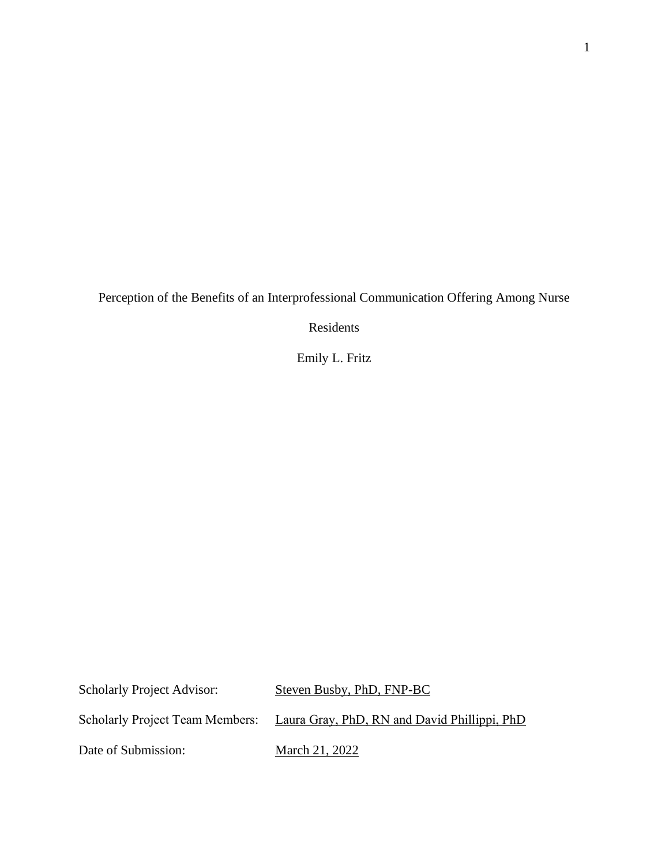Perception of the Benefits of an Interprofessional Communication Offering Among Nurse

Residents

Emily L. Fritz

Scholarly Project Advisor: Steven Busby, PhD, FNP-BC Scholarly Project Team Members: Laura Gray, PhD, RN and David Phillippi, PhD Date of Submission: March 21, 2022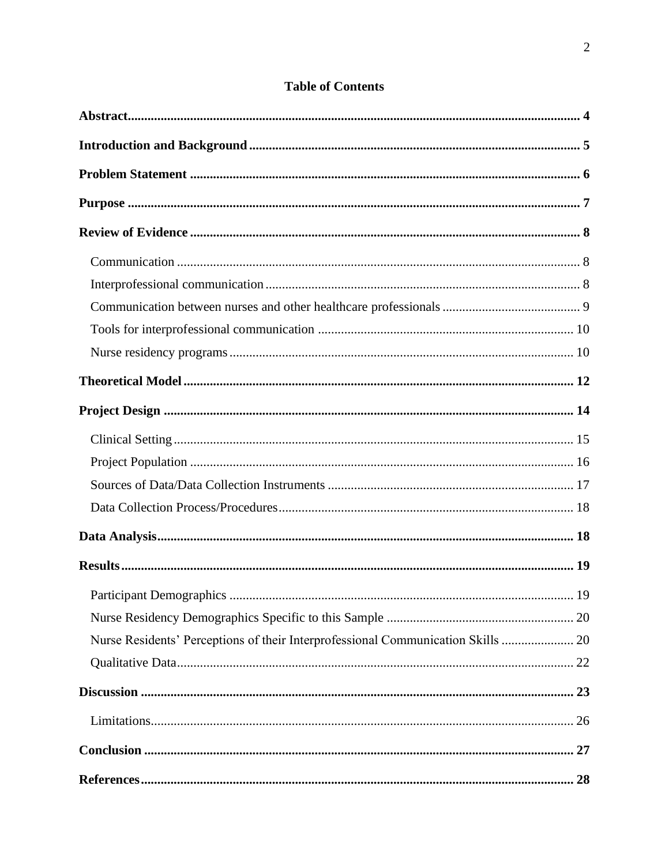| Nurse Residents' Perceptions of their Interprofessional Communication Skills  20 |  |
|----------------------------------------------------------------------------------|--|
|                                                                                  |  |
|                                                                                  |  |
|                                                                                  |  |
|                                                                                  |  |
|                                                                                  |  |

# **Table of Contents**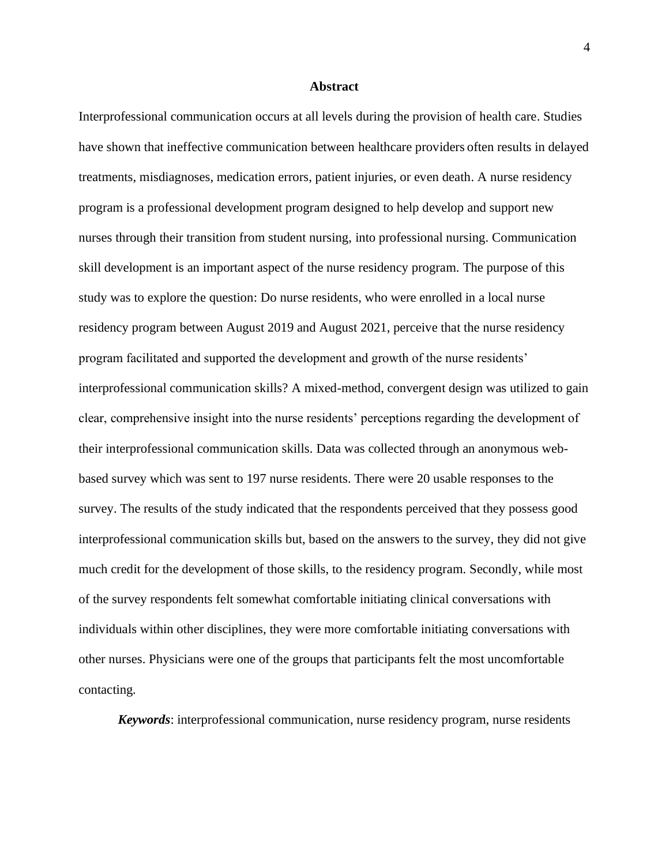#### **Abstract**

<span id="page-4-0"></span>Interprofessional communication occurs at all levels during the provision of health care. Studies have shown that ineffective communication between healthcare providers often results in delayed treatments, misdiagnoses, medication errors, patient injuries, or even death. A nurse residency program is a professional development program designed to help develop and support new nurses through their transition from student nursing, into professional nursing. Communication skill development is an important aspect of the nurse residency program. The purpose of this study was to explore the question: Do nurse residents, who were enrolled in a local nurse residency program between August 2019 and August 2021, perceive that the nurse residency program facilitated and supported the development and growth of the nurse residents' interprofessional communication skills? A mixed-method, convergent design was utilized to gain clear, comprehensive insight into the nurse residents' perceptions regarding the development of their interprofessional communication skills. Data was collected through an anonymous webbased survey which was sent to 197 nurse residents. There were 20 usable responses to the survey. The results of the study indicated that the respondents perceived that they possess good interprofessional communication skills but, based on the answers to the survey, they did not give much credit for the development of those skills, to the residency program. Secondly, while most of the survey respondents felt somewhat comfortable initiating clinical conversations with individuals within other disciplines, they were more comfortable initiating conversations with other nurses. Physicians were one of the groups that participants felt the most uncomfortable contacting*.*

*Keywords*: interprofessional communication, nurse residency program, nurse residents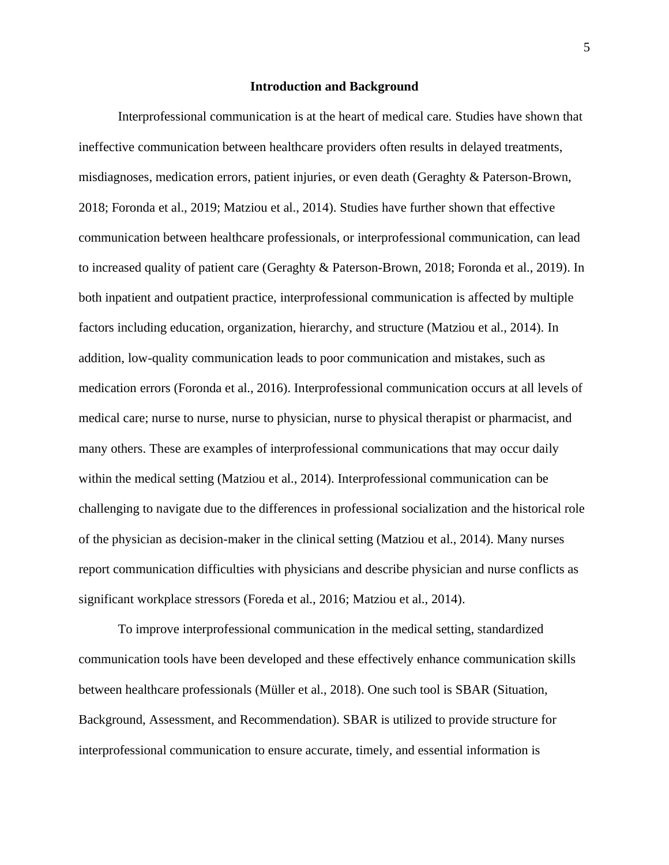#### **Introduction and Background**

<span id="page-5-0"></span>Interprofessional communication is at the heart of medical care. Studies have shown that ineffective communication between healthcare providers often results in delayed treatments, misdiagnoses, medication errors, patient injuries, or even death (Geraghty & Paterson-Brown, 2018; Foronda et al., 2019; Matziou et al., 2014). Studies have further shown that effective communication between healthcare professionals, or interprofessional communication, can lead to increased quality of patient care (Geraghty & Paterson-Brown, 2018; Foronda et al., 2019). In both inpatient and outpatient practice, interprofessional communication is affected by multiple factors including education, organization, hierarchy, and structure (Matziou et al., 2014). In addition, low-quality communication leads to poor communication and mistakes, such as medication errors (Foronda et al., 2016). Interprofessional communication occurs at all levels of medical care; nurse to nurse, nurse to physician, nurse to physical therapist or pharmacist, and many others. These are examples of interprofessional communications that may occur daily within the medical setting (Matziou et al., 2014). Interprofessional communication can be challenging to navigate due to the differences in professional socialization and the historical role of the physician as decision-maker in the clinical setting (Matziou et al., 2014). Many nurses report communication difficulties with physicians and describe physician and nurse conflicts as significant workplace stressors (Foreda et al., 2016; Matziou et al., 2014).

To improve interprofessional communication in the medical setting, standardized communication tools have been developed and these effectively enhance communication skills between healthcare professionals (Müller et al., 2018). One such tool is SBAR (Situation, Background, Assessment, and Recommendation). SBAR is utilized to provide structure for interprofessional communication to ensure accurate, timely, and essential information is

5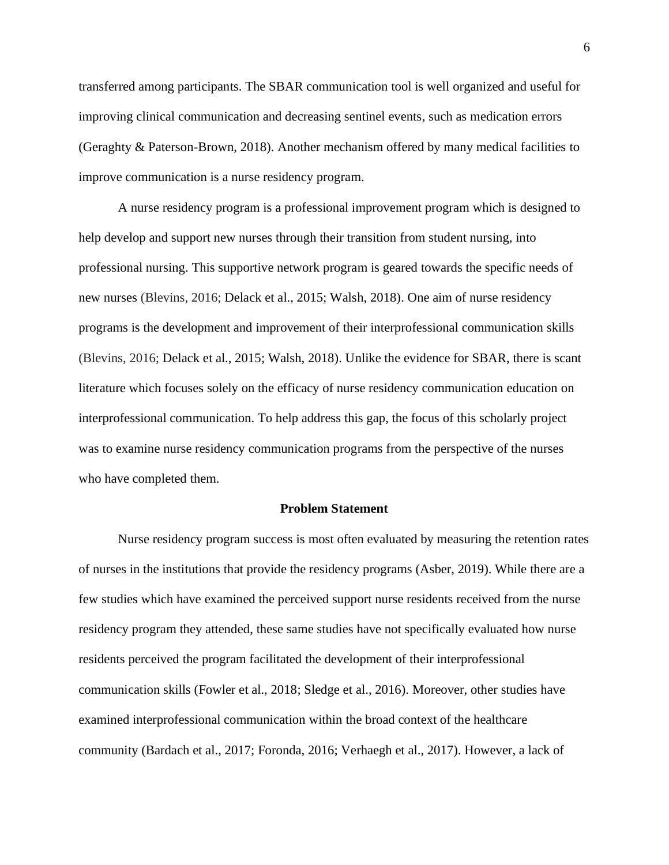transferred among participants. The SBAR communication tool is well organized and useful for improving clinical communication and decreasing sentinel events, such as medication errors (Geraghty & Paterson-Brown, 2018). Another mechanism offered by many medical facilities to improve communication is a nurse residency program.

A nurse residency program is a professional improvement program which is designed to help develop and support new nurses through their transition from student nursing, into professional nursing. This supportive network program is geared towards the specific needs of new nurses (Blevins, 2016; Delack et al., 2015; Walsh, 2018). One aim of nurse residency programs is the development and improvement of their interprofessional communication skills (Blevins, 2016; Delack et al., 2015; Walsh, 2018). Unlike the evidence for SBAR, there is scant literature which focuses solely on the efficacy of nurse residency communication education on interprofessional communication. To help address this gap, the focus of this scholarly project was to examine nurse residency communication programs from the perspective of the nurses who have completed them.

#### **Problem Statement**

<span id="page-6-0"></span>Nurse residency program success is most often evaluated by measuring the retention rates of nurses in the institutions that provide the residency programs (Asber, 2019). While there are a few studies which have examined the perceived support nurse residents received from the nurse residency program they attended, these same studies have not specifically evaluated how nurse residents perceived the program facilitated the development of their interprofessional communication skills (Fowler et al., 2018; Sledge et al., 2016). Moreover, other studies have examined interprofessional communication within the broad context of the healthcare community (Bardach et al., 2017; Foronda, 2016; Verhaegh et al., 2017). However, a lack of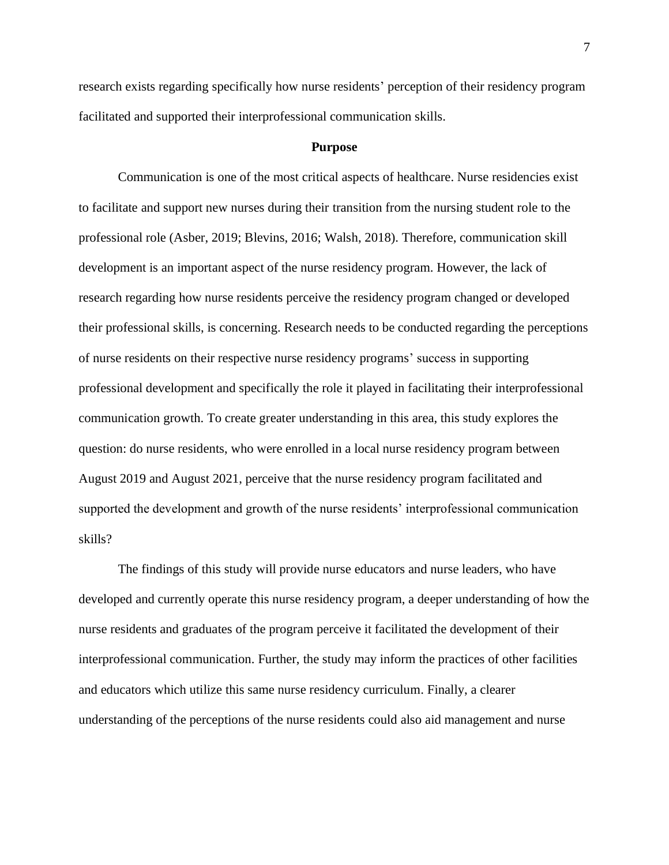research exists regarding specifically how nurse residents' perception of their residency program facilitated and supported their interprofessional communication skills.

#### **Purpose**

<span id="page-7-0"></span>Communication is one of the most critical aspects of healthcare. Nurse residencies exist to facilitate and support new nurses during their transition from the nursing student role to the professional role (Asber, 2019; Blevins, 2016; Walsh, 2018). Therefore, communication skill development is an important aspect of the nurse residency program. However, the lack of research regarding how nurse residents perceive the residency program changed or developed their professional skills, is concerning. Research needs to be conducted regarding the perceptions of nurse residents on their respective nurse residency programs' success in supporting professional development and specifically the role it played in facilitating their interprofessional communication growth. To create greater understanding in this area, this study explores the question: do nurse residents, who were enrolled in a local nurse residency program between August 2019 and August 2021, perceive that the nurse residency program facilitated and supported the development and growth of the nurse residents' interprofessional communication skills?

The findings of this study will provide nurse educators and nurse leaders, who have developed and currently operate this nurse residency program, a deeper understanding of how the nurse residents and graduates of the program perceive it facilitated the development of their interprofessional communication. Further, the study may inform the practices of other facilities and educators which utilize this same nurse residency curriculum. Finally, a clearer understanding of the perceptions of the nurse residents could also aid management and nurse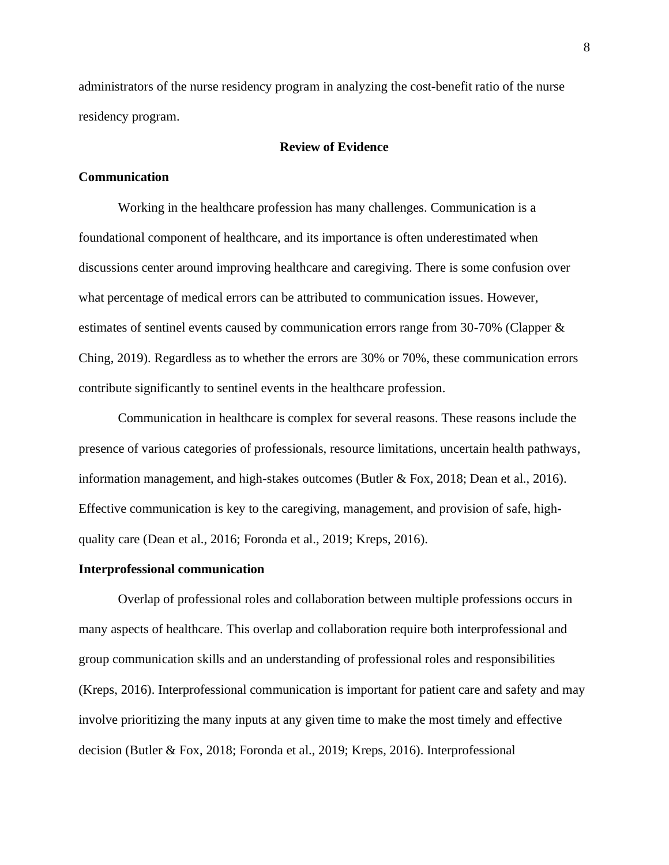administrators of the nurse residency program in analyzing the cost-benefit ratio of the nurse residency program.

#### **Review of Evidence**

#### <span id="page-8-1"></span><span id="page-8-0"></span>**Communication**

Working in the healthcare profession has many challenges. Communication is a foundational component of healthcare, and its importance is often underestimated when discussions center around improving healthcare and caregiving. There is some confusion over what percentage of medical errors can be attributed to communication issues. However, estimates of sentinel events caused by communication errors range from 30-70% (Clapper & Ching, 2019). Regardless as to whether the errors are 30% or 70%, these communication errors contribute significantly to sentinel events in the healthcare profession.

Communication in healthcare is complex for several reasons. These reasons include the presence of various categories of professionals, resource limitations, uncertain health pathways, information management, and high-stakes outcomes (Butler & Fox, 2018; Dean et al., 2016). Effective communication is key to the caregiving, management, and provision of safe, highquality care (Dean et al., 2016; Foronda et al., 2019; Kreps, 2016).

#### <span id="page-8-2"></span>**Interprofessional communication**

Overlap of professional roles and collaboration between multiple professions occurs in many aspects of healthcare. This overlap and collaboration require both interprofessional and group communication skills and an understanding of professional roles and responsibilities (Kreps, 2016). Interprofessional communication is important for patient care and safety and may involve prioritizing the many inputs at any given time to make the most timely and effective decision (Butler & Fox, 2018; Foronda et al., 2019; Kreps, 2016). Interprofessional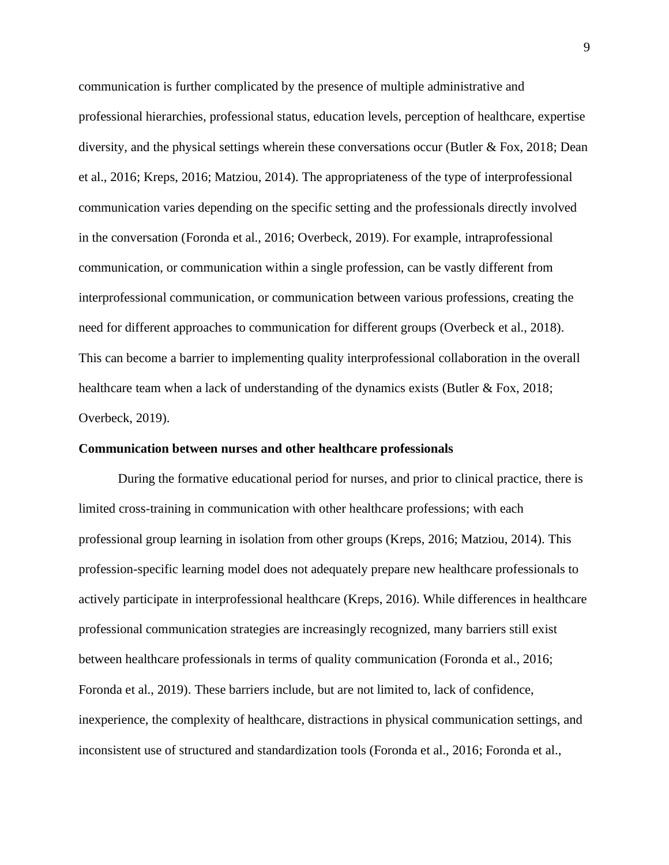communication is further complicated by the presence of multiple administrative and professional hierarchies, professional status, education levels, perception of healthcare, expertise diversity, and the physical settings wherein these conversations occur (Butler  $\&$  Fox, 2018; Dean et al., 2016; Kreps, 2016; Matziou, 2014). The appropriateness of the type of interprofessional communication varies depending on the specific setting and the professionals directly involved in the conversation (Foronda et al., 2016; Overbeck, 2019). For example, intraprofessional communication, or communication within a single profession, can be vastly different from interprofessional communication, or communication between various professions, creating the need for different approaches to communication for different groups (Overbeck et al., 2018). This can become a barrier to implementing quality interprofessional collaboration in the overall healthcare team when a lack of understanding of the dynamics exists (Butler & Fox, 2018; Overbeck, 2019).

#### <span id="page-9-0"></span>**Communication between nurses and other healthcare professionals**

During the formative educational period for nurses, and prior to clinical practice, there is limited cross-training in communication with other healthcare professions; with each professional group learning in isolation from other groups (Kreps, 2016; Matziou, 2014). This profession-specific learning model does not adequately prepare new healthcare professionals to actively participate in interprofessional healthcare (Kreps, 2016). While differences in healthcare professional communication strategies are increasingly recognized, many barriers still exist between healthcare professionals in terms of quality communication (Foronda et al., 2016; Foronda et al., 2019). These barriers include, but are not limited to, lack of confidence, inexperience, the complexity of healthcare, distractions in physical communication settings, and inconsistent use of structured and standardization tools (Foronda et al., 2016; Foronda et al.,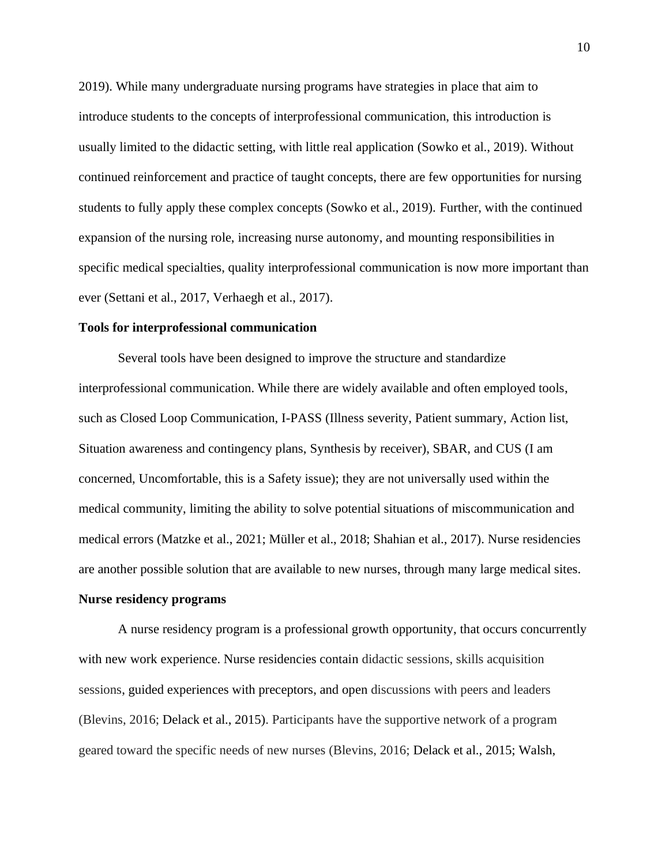2019). While many undergraduate nursing programs have strategies in place that aim to introduce students to the concepts of interprofessional communication, this introduction is usually limited to the didactic setting, with little real application (Sowko et al., 2019). Without continued reinforcement and practice of taught concepts, there are few opportunities for nursing students to fully apply these complex concepts (Sowko et al., 2019). Further, with the continued expansion of the nursing role, increasing nurse autonomy, and mounting responsibilities in specific medical specialties, quality interprofessional communication is now more important than ever (Settani et al., 2017, Verhaegh et al., 2017).

#### <span id="page-10-0"></span>**Tools for interprofessional communication**

Several tools have been designed to improve the structure and standardize interprofessional communication. While there are widely available and often employed tools, such as Closed Loop Communication, I-PASS (Illness severity, Patient summary, Action list, Situation awareness and contingency plans, Synthesis by receiver), SBAR, and CUS (I am concerned, Uncomfortable, this is a Safety issue); they are not universally used within the medical community, limiting the ability to solve potential situations of miscommunication and medical errors (Matzke et al., 2021; Müller et al., 2018; Shahian et al., 2017). Nurse residencies are another possible solution that are available to new nurses, through many large medical sites.

#### <span id="page-10-1"></span>**Nurse residency programs**

A nurse residency program is a professional growth opportunity, that occurs concurrently with new work experience. Nurse residencies contain didactic sessions, skills acquisition sessions, guided experiences with preceptors, and open discussions with peers and leaders (Blevins, 2016; Delack et al., 2015). Participants have the supportive network of a program geared toward the specific needs of new nurses (Blevins, 2016; Delack et al., 2015; Walsh,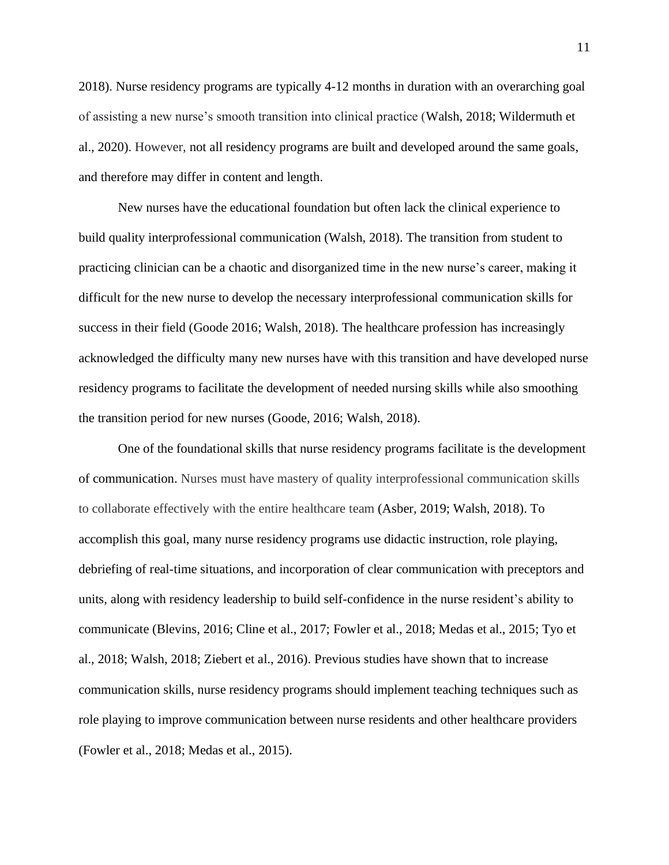2018). Nurse residency programs are typically 4-12 months in duration with an overarching goal of assisting a new nurse's smooth transition into clinical practice (Walsh, 2018; Wildermuth et al., 2020). However, not all residency programs are built and developed around the same goals, and therefore may differ in content and length.

New nurses have the educational foundation but often lack the clinical experience to build quality interprofessional communication (Walsh, 2018). The transition from student to practicing clinician can be a chaotic and disorganized time in the new nurse's career, making it difficult for the new nurse to develop the necessary interprofessional communication skills for success in their field (Goode 2016; Walsh, 2018). The healthcare profession has increasingly acknowledged the difficulty many new nurses have with this transition and have developed nurse residency programs to facilitate the development of needed nursing skills while also smoothing the transition period for new nurses (Goode, 2016; Walsh, 2018).

One of the foundational skills that nurse residency programs facilitate is the development of communication. Nurses must have mastery of quality interprofessional communication skills to collaborate effectively with the entire healthcare team (Asber, 2019; Walsh, 2018). To accomplish this goal, many nurse residency programs use didactic instruction, role playing, debriefing of real-time situations, and incorporation of clear communication with preceptors and units, along with residency leadership to build self-confidence in the nurse resident's ability to communicate (Blevins, 2016; Cline et al., 2017; Fowler et al., 2018; Medas et al., 2015; Tyo et al., 2018; Walsh, 2018; Ziebert et al., 2016). Previous studies have shown that to increase communication skills, nurse residency programs should implement teaching techniques such as role playing to improve communication between nurse residents and other healthcare providers (Fowler et al., 2018; Medas et al., 2015).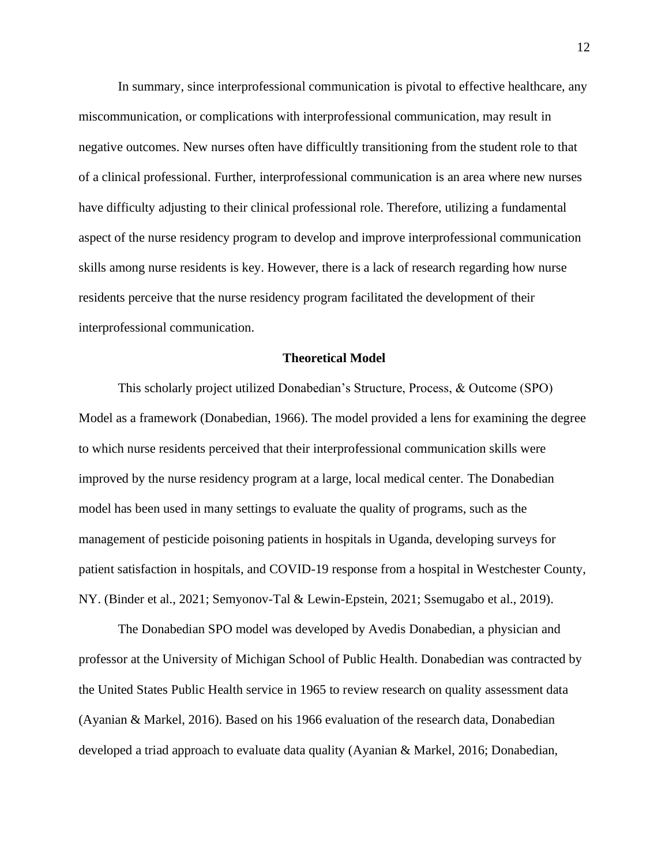In summary, since interprofessional communication is pivotal to effective healthcare, any miscommunication, or complications with interprofessional communication, may result in negative outcomes. New nurses often have difficultly transitioning from the student role to that of a clinical professional. Further, interprofessional communication is an area where new nurses have difficulty adjusting to their clinical professional role. Therefore, utilizing a fundamental aspect of the nurse residency program to develop and improve interprofessional communication skills among nurse residents is key. However, there is a lack of research regarding how nurse residents perceive that the nurse residency program facilitated the development of their interprofessional communication.

#### **Theoretical Model**

<span id="page-12-0"></span>This scholarly project utilized Donabedian's Structure, Process, & Outcome (SPO) Model as a framework (Donabedian, 1966). The model provided a lens for examining the degree to which nurse residents perceived that their interprofessional communication skills were improved by the nurse residency program at a large, local medical center. The Donabedian model has been used in many settings to evaluate the quality of programs, such as the management of pesticide poisoning patients in hospitals in Uganda, developing surveys for patient satisfaction in hospitals, and COVID-19 response from a hospital in Westchester County, NY. (Binder et al., 2021; Semyonov-Tal & Lewin-Epstein, 2021; Ssemugabo et al., 2019).

The Donabedian SPO model was developed by Avedis Donabedian, a physician and professor at the University of Michigan School of Public Health. Donabedian was contracted by the United States Public Health service in 1965 to review research on quality assessment data (Ayanian & Markel, 2016). Based on his 1966 evaluation of the research data, Donabedian developed a triad approach to evaluate data quality (Ayanian & Markel, 2016; Donabedian,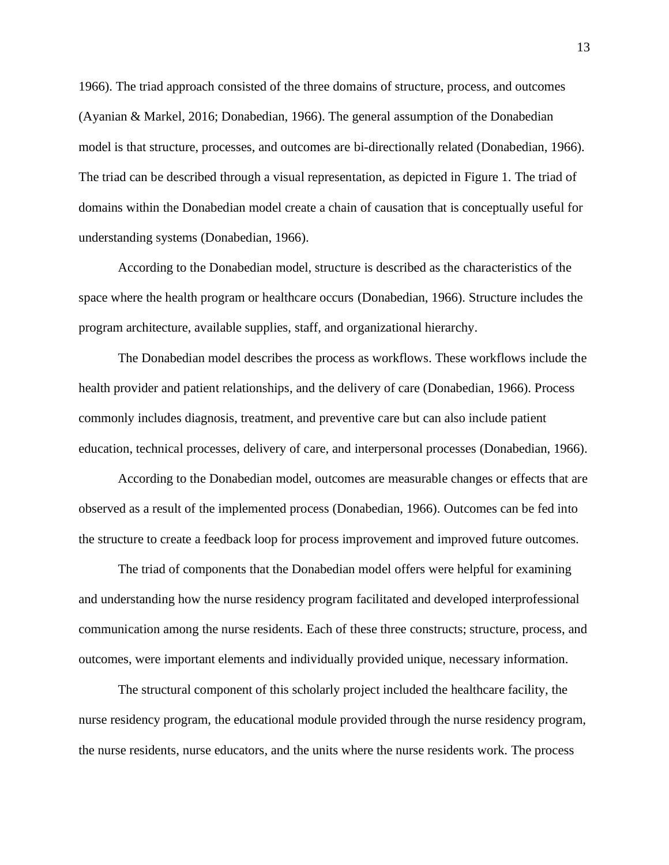1966). The triad approach consisted of the three domains of structure, process, and outcomes (Ayanian & Markel, 2016; Donabedian, 1966). The general assumption of the Donabedian model is that structure, processes, and outcomes are bi-directionally related (Donabedian, 1966). The triad can be described through a visual representation, as depicted in Figure 1. The triad of domains within the Donabedian model create a chain of causation that is conceptually useful for understanding systems (Donabedian, 1966).

According to the Donabedian model, structure is described as the characteristics of the space where the health program or healthcare occurs (Donabedian, 1966). Structure includes the program architecture, available supplies, staff, and organizational hierarchy.

The Donabedian model describes the process as workflows. These workflows include the health provider and patient relationships, and the delivery of care (Donabedian, 1966). Process commonly includes diagnosis, treatment, and preventive care but can also include patient education, technical processes, delivery of care, and interpersonal processes (Donabedian, 1966).

According to the Donabedian model, outcomes are measurable changes or effects that are observed as a result of the implemented process (Donabedian, 1966). Outcomes can be fed into the structure to create a feedback loop for process improvement and improved future outcomes.

The triad of components that the Donabedian model offers were helpful for examining and understanding how the nurse residency program facilitated and developed interprofessional communication among the nurse residents. Each of these three constructs; structure, process, and outcomes, were important elements and individually provided unique, necessary information.

The structural component of this scholarly project included the healthcare facility, the nurse residency program, the educational module provided through the nurse residency program, the nurse residents, nurse educators, and the units where the nurse residents work. The process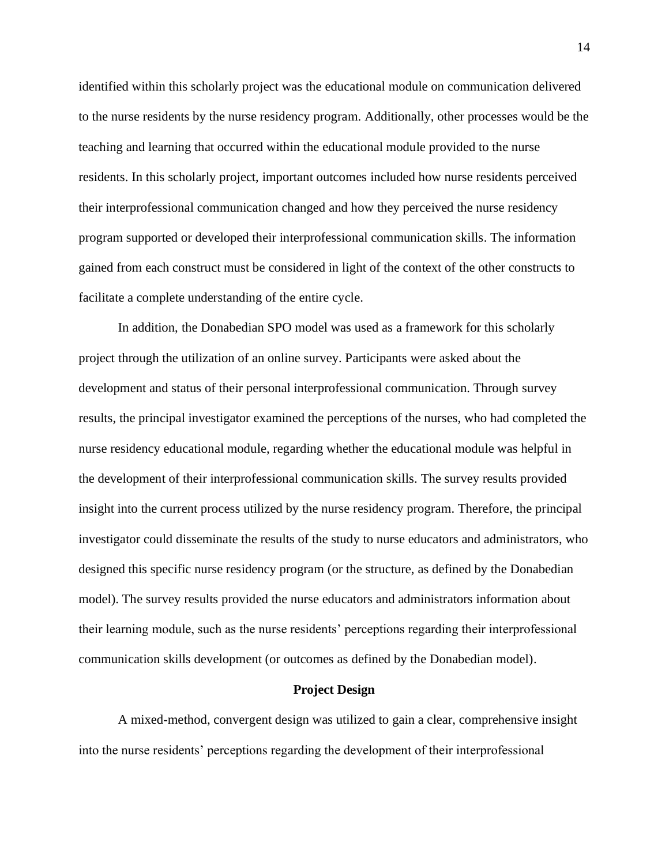identified within this scholarly project was the educational module on communication delivered to the nurse residents by the nurse residency program. Additionally, other processes would be the teaching and learning that occurred within the educational module provided to the nurse residents. In this scholarly project, important outcomes included how nurse residents perceived their interprofessional communication changed and how they perceived the nurse residency program supported or developed their interprofessional communication skills. The information gained from each construct must be considered in light of the context of the other constructs to facilitate a complete understanding of the entire cycle.

In addition, the Donabedian SPO model was used as a framework for this scholarly project through the utilization of an online survey. Participants were asked about the development and status of their personal interprofessional communication. Through survey results, the principal investigator examined the perceptions of the nurses, who had completed the nurse residency educational module, regarding whether the educational module was helpful in the development of their interprofessional communication skills. The survey results provided insight into the current process utilized by the nurse residency program. Therefore, the principal investigator could disseminate the results of the study to nurse educators and administrators, who designed this specific nurse residency program (or the structure, as defined by the Donabedian model). The survey results provided the nurse educators and administrators information about their learning module, such as the nurse residents' perceptions regarding their interprofessional communication skills development (or outcomes as defined by the Donabedian model).

#### **Project Design**

<span id="page-14-0"></span>A mixed-method, convergent design was utilized to gain a clear, comprehensive insight into the nurse residents' perceptions regarding the development of their interprofessional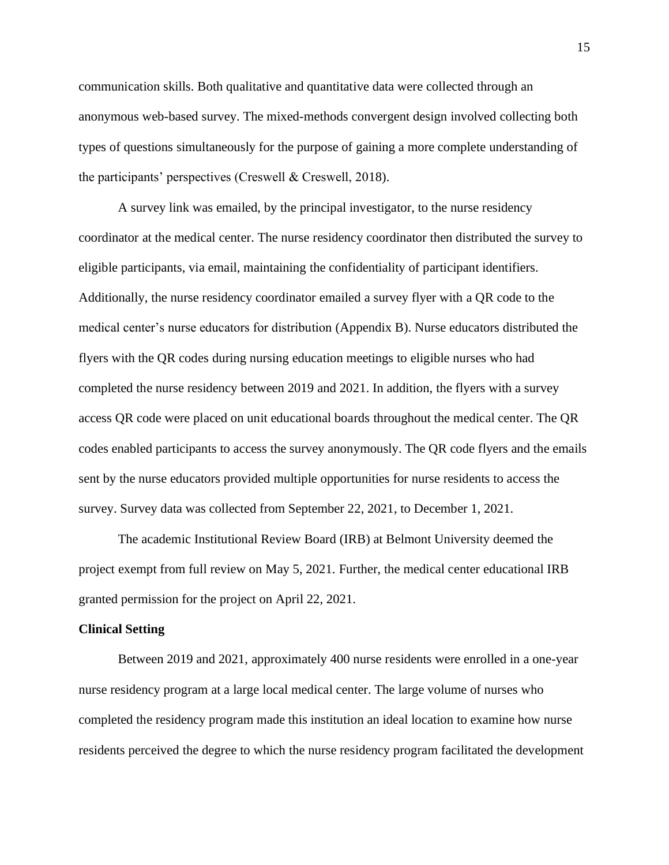communication skills. Both qualitative and quantitative data were collected through an anonymous web-based survey. The mixed-methods convergent design involved collecting both types of questions simultaneously for the purpose of gaining a more complete understanding of the participants' perspectives (Creswell & Creswell, 2018).

A survey link was emailed, by the principal investigator, to the nurse residency coordinator at the medical center. The nurse residency coordinator then distributed the survey to eligible participants, via email, maintaining the confidentiality of participant identifiers. Additionally, the nurse residency coordinator emailed a survey flyer with a QR code to the medical center's nurse educators for distribution (Appendix B). Nurse educators distributed the flyers with the QR codes during nursing education meetings to eligible nurses who had completed the nurse residency between 2019 and 2021. In addition, the flyers with a survey access QR code were placed on unit educational boards throughout the medical center. The QR codes enabled participants to access the survey anonymously. The QR code flyers and the emails sent by the nurse educators provided multiple opportunities for nurse residents to access the survey. Survey data was collected from September 22, 2021, to December 1, 2021.

The academic Institutional Review Board (IRB) at Belmont University deemed the project exempt from full review on May 5, 2021. Further, the medical center educational IRB granted permission for the project on April 22, 2021.

#### <span id="page-15-0"></span>**Clinical Setting**

Between 2019 and 2021, approximately 400 nurse residents were enrolled in a one-year nurse residency program at a large local medical center. The large volume of nurses who completed the residency program made this institution an ideal location to examine how nurse residents perceived the degree to which the nurse residency program facilitated the development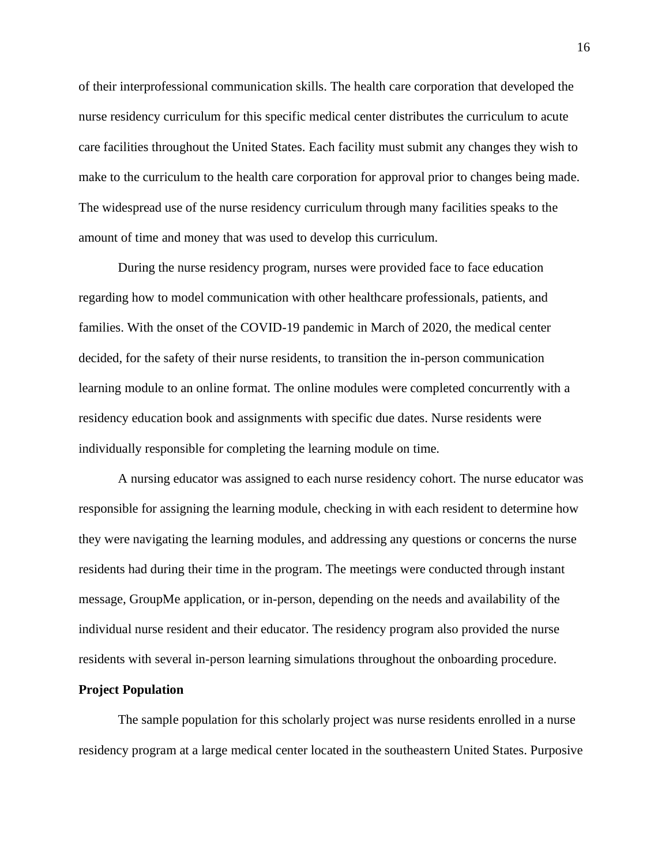of their interprofessional communication skills. The health care corporation that developed the nurse residency curriculum for this specific medical center distributes the curriculum to acute care facilities throughout the United States. Each facility must submit any changes they wish to make to the curriculum to the health care corporation for approval prior to changes being made. The widespread use of the nurse residency curriculum through many facilities speaks to the amount of time and money that was used to develop this curriculum.

During the nurse residency program, nurses were provided face to face education regarding how to model communication with other healthcare professionals, patients, and families. With the onset of the COVID-19 pandemic in March of 2020, the medical center decided, for the safety of their nurse residents, to transition the in-person communication learning module to an online format. The online modules were completed concurrently with a residency education book and assignments with specific due dates. Nurse residents were individually responsible for completing the learning module on time.

A nursing educator was assigned to each nurse residency cohort. The nurse educator was responsible for assigning the learning module, checking in with each resident to determine how they were navigating the learning modules, and addressing any questions or concerns the nurse residents had during their time in the program. The meetings were conducted through instant message, GroupMe application, or in-person, depending on the needs and availability of the individual nurse resident and their educator. The residency program also provided the nurse residents with several in-person learning simulations throughout the onboarding procedure.

#### <span id="page-16-0"></span>**Project Population**

The sample population for this scholarly project was nurse residents enrolled in a nurse residency program at a large medical center located in the southeastern United States. Purposive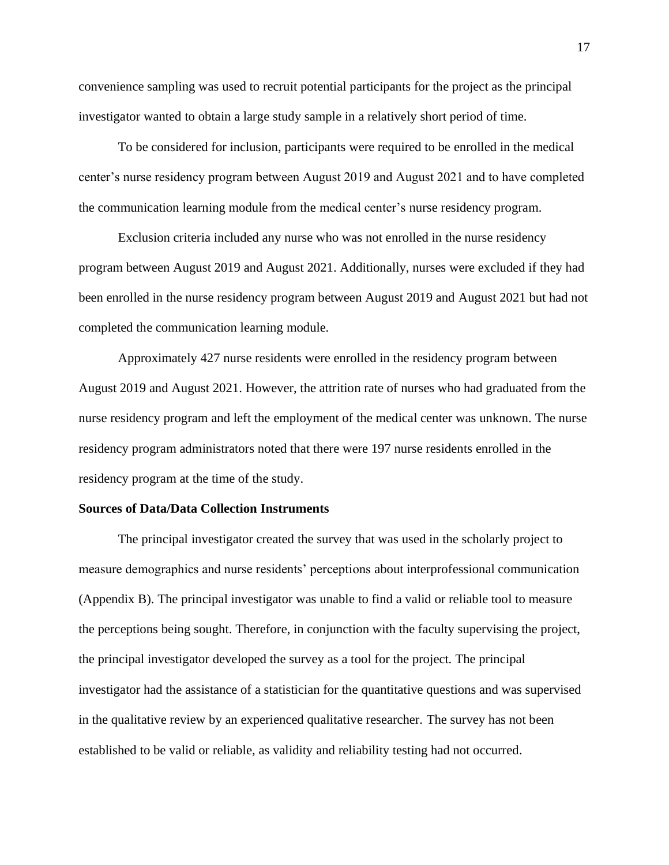convenience sampling was used to recruit potential participants for the project as the principal investigator wanted to obtain a large study sample in a relatively short period of time.

To be considered for inclusion, participants were required to be enrolled in the medical center's nurse residency program between August 2019 and August 2021 and to have completed the communication learning module from the medical center's nurse residency program.

Exclusion criteria included any nurse who was not enrolled in the nurse residency program between August 2019 and August 2021. Additionally, nurses were excluded if they had been enrolled in the nurse residency program between August 2019 and August 2021 but had not completed the communication learning module.

Approximately 427 nurse residents were enrolled in the residency program between August 2019 and August 2021. However, the attrition rate of nurses who had graduated from the nurse residency program and left the employment of the medical center was unknown. The nurse residency program administrators noted that there were 197 nurse residents enrolled in the residency program at the time of the study.

#### <span id="page-17-0"></span>**Sources of Data/Data Collection Instruments**

The principal investigator created the survey that was used in the scholarly project to measure demographics and nurse residents' perceptions about interprofessional communication (Appendix B). The principal investigator was unable to find a valid or reliable tool to measure the perceptions being sought. Therefore, in conjunction with the faculty supervising the project, the principal investigator developed the survey as a tool for the project. The principal investigator had the assistance of a statistician for the quantitative questions and was supervised in the qualitative review by an experienced qualitative researcher. The survey has not been established to be valid or reliable, as validity and reliability testing had not occurred.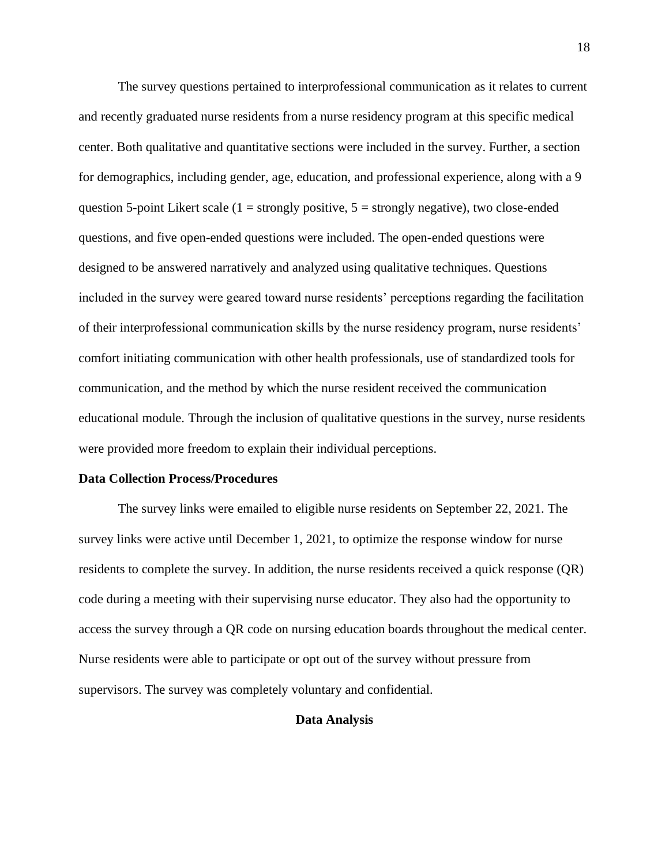The survey questions pertained to interprofessional communication as it relates to current and recently graduated nurse residents from a nurse residency program at this specific medical center. Both qualitative and quantitative sections were included in the survey. Further, a section for demographics, including gender, age, education, and professional experience, along with a 9 question 5-point Likert scale  $(1 =$  strongly positive,  $5 =$  strongly negative), two close-ended questions, and five open-ended questions were included. The open-ended questions were designed to be answered narratively and analyzed using qualitative techniques. Questions included in the survey were geared toward nurse residents' perceptions regarding the facilitation of their interprofessional communication skills by the nurse residency program, nurse residents' comfort initiating communication with other health professionals, use of standardized tools for communication, and the method by which the nurse resident received the communication educational module. Through the inclusion of qualitative questions in the survey, nurse residents were provided more freedom to explain their individual perceptions.

#### <span id="page-18-0"></span>**Data Collection Process/Procedures**

<span id="page-18-1"></span>The survey links were emailed to eligible nurse residents on September 22, 2021. The survey links were active until December 1, 2021, to optimize the response window for nurse residents to complete the survey. In addition, the nurse residents received a quick response (QR) code during a meeting with their supervising nurse educator. They also had the opportunity to access the survey through a QR code on nursing education boards throughout the medical center. Nurse residents were able to participate or opt out of the survey without pressure from supervisors. The survey was completely voluntary and confidential.

#### **Data Analysis**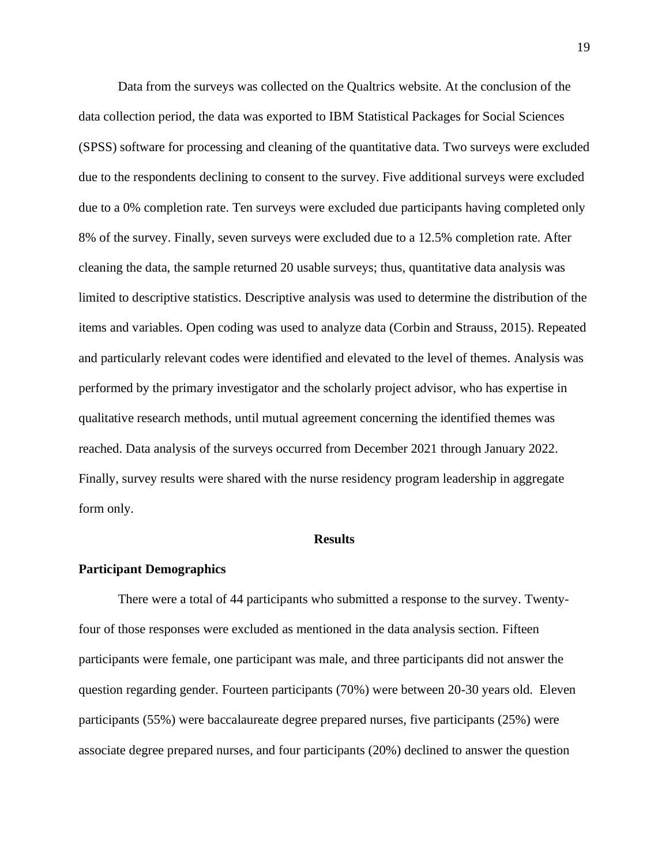Data from the surveys was collected on the Qualtrics website. At the conclusion of the data collection period, the data was exported to IBM Statistical Packages for Social Sciences (SPSS) software for processing and cleaning of the quantitative data. Two surveys were excluded due to the respondents declining to consent to the survey. Five additional surveys were excluded due to a 0% completion rate. Ten surveys were excluded due participants having completed only 8% of the survey. Finally, seven surveys were excluded due to a 12.5% completion rate. After cleaning the data, the sample returned 20 usable surveys; thus, quantitative data analysis was limited to descriptive statistics. Descriptive analysis was used to determine the distribution of the items and variables. Open coding was used to analyze data (Corbin and Strauss, 2015). Repeated and particularly relevant codes were identified and elevated to the level of themes. Analysis was performed by the primary investigator and the scholarly project advisor, who has expertise in qualitative research methods, until mutual agreement concerning the identified themes was reached. Data analysis of the surveys occurred from December 2021 through January 2022. Finally, survey results were shared with the nurse residency program leadership in aggregate form only.

#### **Results**

#### <span id="page-19-1"></span><span id="page-19-0"></span>**Participant Demographics**

There were a total of 44 participants who submitted a response to the survey. Twentyfour of those responses were excluded as mentioned in the data analysis section. Fifteen participants were female, one participant was male, and three participants did not answer the question regarding gender. Fourteen participants (70%) were between 20-30 years old. Eleven participants (55%) were baccalaureate degree prepared nurses, five participants (25%) were associate degree prepared nurses, and four participants (20%) declined to answer the question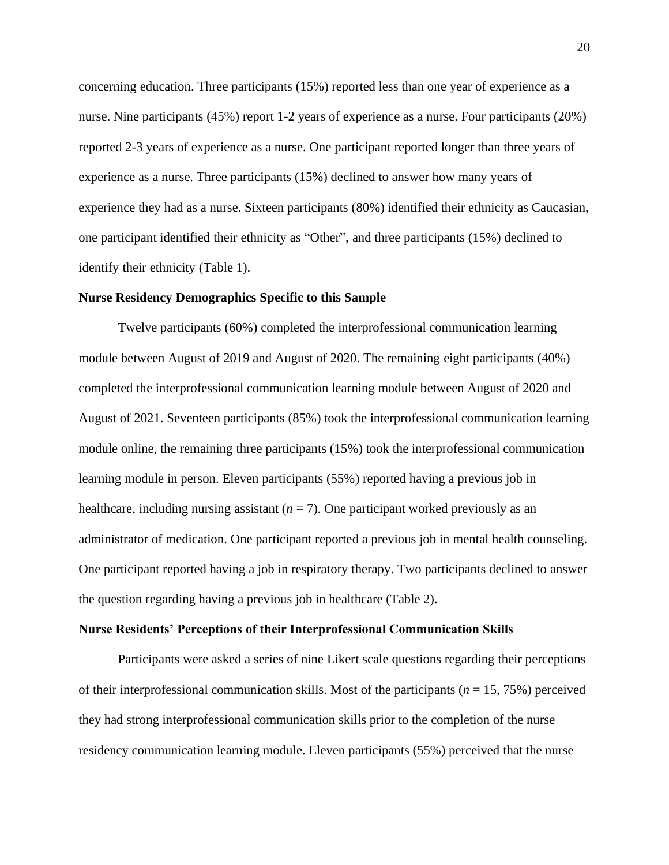concerning education. Three participants (15%) reported less than one year of experience as a nurse. Nine participants (45%) report 1-2 years of experience as a nurse. Four participants (20%) reported 2-3 years of experience as a nurse. One participant reported longer than three years of experience as a nurse. Three participants (15%) declined to answer how many years of experience they had as a nurse. Sixteen participants (80%) identified their ethnicity as Caucasian, one participant identified their ethnicity as "Other", and three participants (15%) declined to identify their ethnicity (Table 1).

#### <span id="page-20-0"></span>**Nurse Residency Demographics Specific to this Sample**

Twelve participants (60%) completed the interprofessional communication learning module between August of 2019 and August of 2020. The remaining eight participants (40%) completed the interprofessional communication learning module between August of 2020 and August of 2021. Seventeen participants (85%) took the interprofessional communication learning module online, the remaining three participants (15%) took the interprofessional communication learning module in person. Eleven participants (55%) reported having a previous job in healthcare, including nursing assistant  $(n = 7)$ . One participant worked previously as an administrator of medication. One participant reported a previous job in mental health counseling. One participant reported having a job in respiratory therapy. Two participants declined to answer the question regarding having a previous job in healthcare (Table 2).

#### <span id="page-20-1"></span>**Nurse Residents' Perceptions of their Interprofessional Communication Skills**

Participants were asked a series of nine Likert scale questions regarding their perceptions of their interprofessional communication skills. Most of the participants (*n* = 15, 75%) perceived they had strong interprofessional communication skills prior to the completion of the nurse residency communication learning module. Eleven participants (55%) perceived that the nurse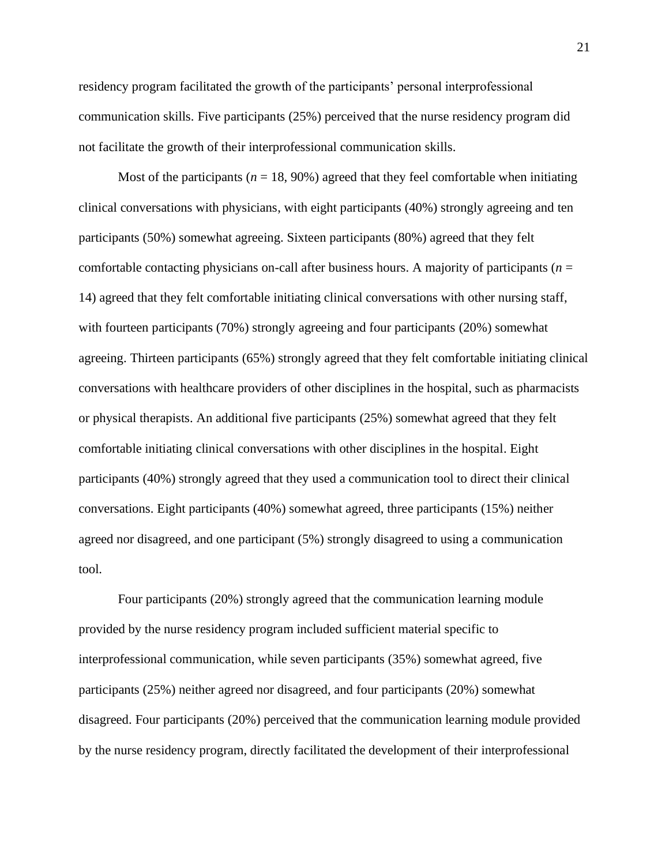residency program facilitated the growth of the participants' personal interprofessional communication skills. Five participants (25%) perceived that the nurse residency program did not facilitate the growth of their interprofessional communication skills.

Most of the participants ( $n = 18,90\%$ ) agreed that they feel comfortable when initiating clinical conversations with physicians, with eight participants (40%) strongly agreeing and ten participants (50%) somewhat agreeing. Sixteen participants (80%) agreed that they felt comfortable contacting physicians on-call after business hours. A majority of participants ( $n =$ 14) agreed that they felt comfortable initiating clinical conversations with other nursing staff, with fourteen participants (70%) strongly agreeing and four participants (20%) somewhat agreeing. Thirteen participants (65%) strongly agreed that they felt comfortable initiating clinical conversations with healthcare providers of other disciplines in the hospital, such as pharmacists or physical therapists. An additional five participants (25%) somewhat agreed that they felt comfortable initiating clinical conversations with other disciplines in the hospital. Eight participants (40%) strongly agreed that they used a communication tool to direct their clinical conversations. Eight participants (40%) somewhat agreed, three participants (15%) neither agreed nor disagreed, and one participant (5%) strongly disagreed to using a communication tool.

Four participants (20%) strongly agreed that the communication learning module provided by the nurse residency program included sufficient material specific to interprofessional communication, while seven participants (35%) somewhat agreed, five participants (25%) neither agreed nor disagreed, and four participants (20%) somewhat disagreed. Four participants (20%) perceived that the communication learning module provided by the nurse residency program, directly facilitated the development of their interprofessional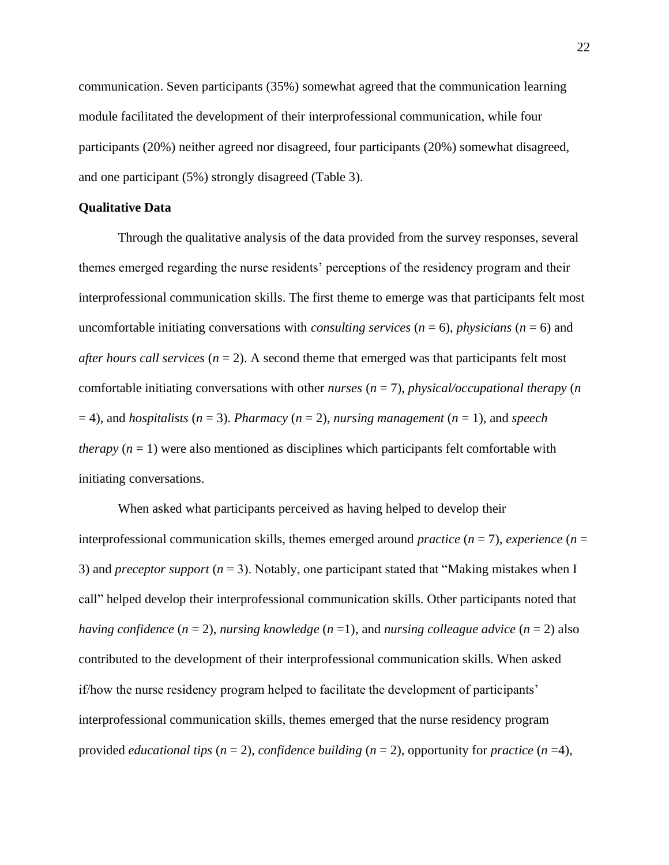communication. Seven participants (35%) somewhat agreed that the communication learning module facilitated the development of their interprofessional communication, while four participants (20%) neither agreed nor disagreed, four participants (20%) somewhat disagreed, and one participant (5%) strongly disagreed (Table 3).

#### <span id="page-22-0"></span>**Qualitative Data**

Through the qualitative analysis of the data provided from the survey responses, several themes emerged regarding the nurse residents' perceptions of the residency program and their interprofessional communication skills. The first theme to emerge was that participants felt most uncomfortable initiating conversations with *consulting services*  $(n = 6)$ , *physicians*  $(n = 6)$  and *after hours call services* ( $n = 2$ ). A second theme that emerged was that participants felt most comfortable initiating conversations with other *nurses* (*n* = 7), *physical/occupational therapy* (*n*  $(1, 2)$ , and *hospitalists*  $(n = 3)$ . *Pharmacy*  $(n = 2)$ , *nursing management*  $(n = 1)$ , and *speech therapy*  $(n = 1)$  were also mentioned as disciplines which participants felt comfortable with initiating conversations.

When asked what participants perceived as having helped to develop their interprofessional communication skills, themes emerged around *practice* (*n* = 7), *experience* (*n* = 3) and *preceptor support* (*n* = 3). Notably, one participant stated that "Making mistakes when I call" helped develop their interprofessional communication skills. Other participants noted that *having confidence* (*n* = 2), *nursing knowledge* (*n* =1), and *nursing colleague advice* (*n* = 2) also contributed to the development of their interprofessional communication skills. When asked if/how the nurse residency program helped to facilitate the development of participants' interprofessional communication skills, themes emerged that the nurse residency program provided *educational tips* (*n* = 2), *confidence building* (*n* = 2), opportunity for *practice* (*n* =4),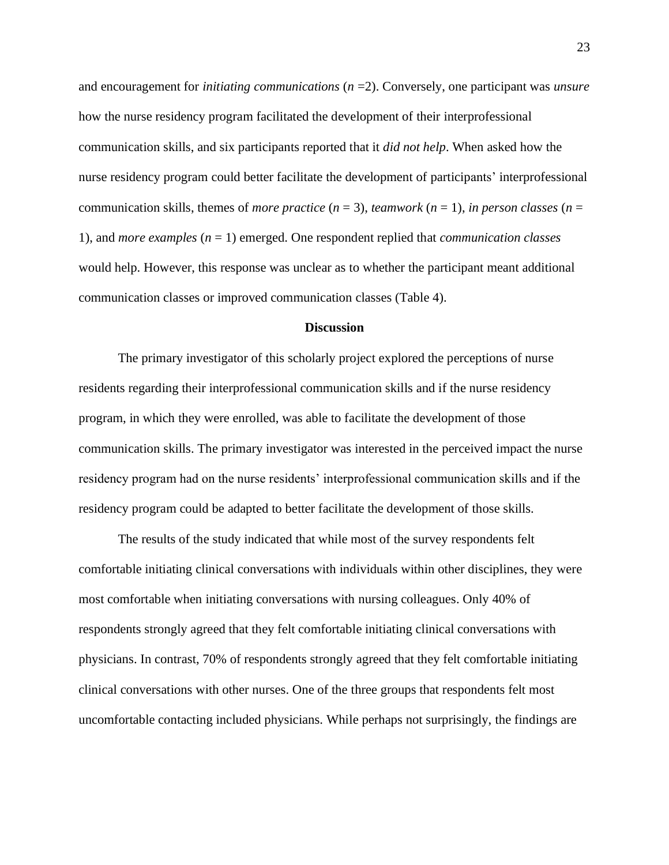and encouragement for *initiating communications* (*n* =2). Conversely, one participant was *unsure* how the nurse residency program facilitated the development of their interprofessional communication skills, and six participants reported that it *did not help*. When asked how the nurse residency program could better facilitate the development of participants' interprofessional communication skills, themes of *more practice*  $(n = 3)$ , *teamwork*  $(n = 1)$ , *in person classes*  $(n = 1)$ 1), and *more examples* (*n* = 1) emerged. One respondent replied that *communication classes* would help. However, this response was unclear as to whether the participant meant additional communication classes or improved communication classes (Table 4).

#### **Discussion**

<span id="page-23-0"></span>The primary investigator of this scholarly project explored the perceptions of nurse residents regarding their interprofessional communication skills and if the nurse residency program, in which they were enrolled, was able to facilitate the development of those communication skills. The primary investigator was interested in the perceived impact the nurse residency program had on the nurse residents' interprofessional communication skills and if the residency program could be adapted to better facilitate the development of those skills.

The results of the study indicated that while most of the survey respondents felt comfortable initiating clinical conversations with individuals within other disciplines, they were most comfortable when initiating conversations with nursing colleagues. Only 40% of respondents strongly agreed that they felt comfortable initiating clinical conversations with physicians. In contrast, 70% of respondents strongly agreed that they felt comfortable initiating clinical conversations with other nurses. One of the three groups that respondents felt most uncomfortable contacting included physicians. While perhaps not surprisingly, the findings are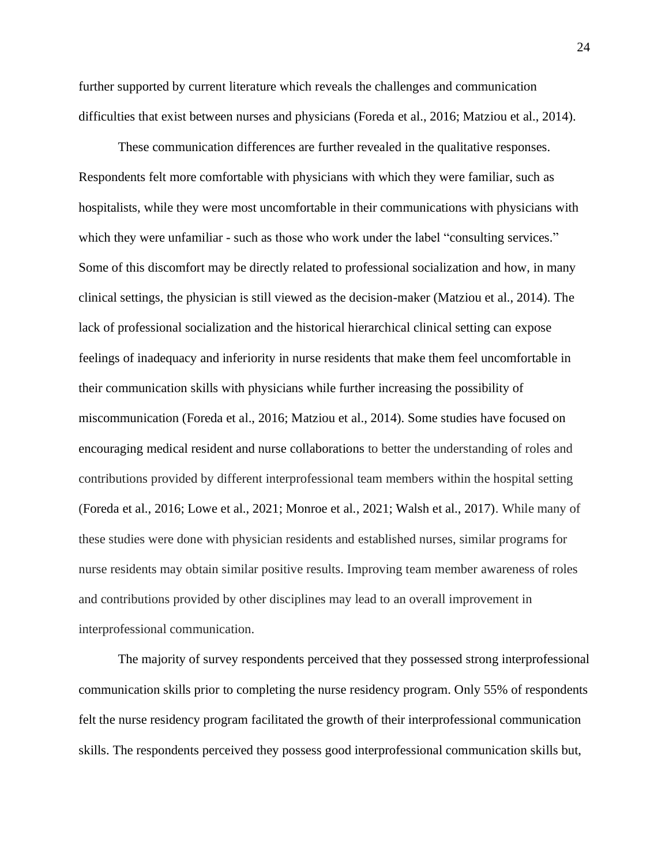further supported by current literature which reveals the challenges and communication difficulties that exist between nurses and physicians (Foreda et al., 2016; Matziou et al., 2014).

These communication differences are further revealed in the qualitative responses. Respondents felt more comfortable with physicians with which they were familiar, such as hospitalists, while they were most uncomfortable in their communications with physicians with which they were unfamiliar - such as those who work under the label "consulting services." Some of this discomfort may be directly related to professional socialization and how, in many clinical settings, the physician is still viewed as the decision-maker (Matziou et al., 2014). The lack of professional socialization and the historical hierarchical clinical setting can expose feelings of inadequacy and inferiority in nurse residents that make them feel uncomfortable in their communication skills with physicians while further increasing the possibility of miscommunication (Foreda et al., 2016; Matziou et al., 2014). Some studies have focused on encouraging medical resident and nurse collaborations to better the understanding of roles and contributions provided by different interprofessional team members within the hospital setting (Foreda et al., 2016; Lowe et al., 2021; Monroe et al., 2021; Walsh et al., 2017). While many of these studies were done with physician residents and established nurses, similar programs for nurse residents may obtain similar positive results. Improving team member awareness of roles and contributions provided by other disciplines may lead to an overall improvement in interprofessional communication.

The majority of survey respondents perceived that they possessed strong interprofessional communication skills prior to completing the nurse residency program. Only 55% of respondents felt the nurse residency program facilitated the growth of their interprofessional communication skills. The respondents perceived they possess good interprofessional communication skills but,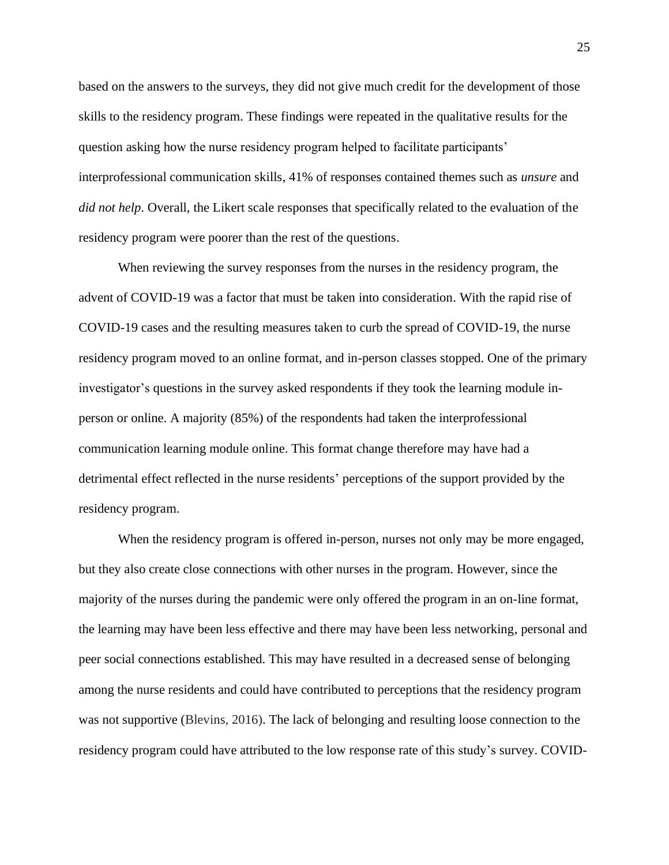based on the answers to the surveys, they did not give much credit for the development of those skills to the residency program. These findings were repeated in the qualitative results for the question asking how the nurse residency program helped to facilitate participants' interprofessional communication skills, 41% of responses contained themes such as *unsure* and *did not help*. Overall, the Likert scale responses that specifically related to the evaluation of the residency program were poorer than the rest of the questions.

When reviewing the survey responses from the nurses in the residency program, the advent of COVID-19 was a factor that must be taken into consideration. With the rapid rise of COVID-19 cases and the resulting measures taken to curb the spread of COVID-19, the nurse residency program moved to an online format, and in-person classes stopped. One of the primary investigator's questions in the survey asked respondents if they took the learning module inperson or online. A majority (85%) of the respondents had taken the interprofessional communication learning module online. This format change therefore may have had a detrimental effect reflected in the nurse residents' perceptions of the support provided by the residency program.

When the residency program is offered in-person, nurses not only may be more engaged, but they also create close connections with other nurses in the program. However, since the majority of the nurses during the pandemic were only offered the program in an on-line format, the learning may have been less effective and there may have been less networking, personal and peer social connections established. This may have resulted in a decreased sense of belonging among the nurse residents and could have contributed to perceptions that the residency program was not supportive (Blevins, 2016). The lack of belonging and resulting loose connection to the residency program could have attributed to the low response rate of this study's survey. COVID-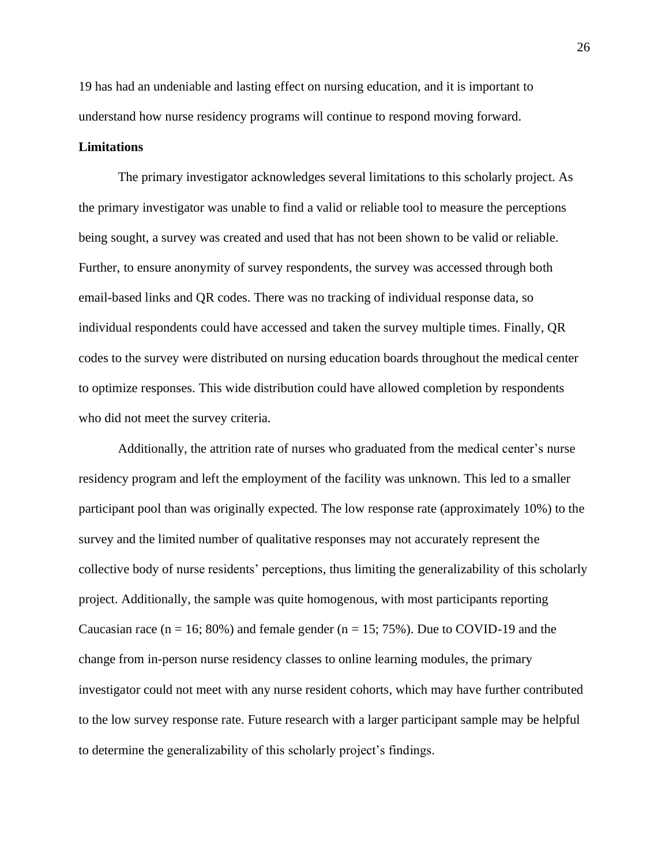19 has had an undeniable and lasting effect on nursing education, and it is important to understand how nurse residency programs will continue to respond moving forward.

#### <span id="page-26-0"></span>**Limitations**

The primary investigator acknowledges several limitations to this scholarly project. As the primary investigator was unable to find a valid or reliable tool to measure the perceptions being sought, a survey was created and used that has not been shown to be valid or reliable. Further, to ensure anonymity of survey respondents, the survey was accessed through both email-based links and QR codes. There was no tracking of individual response data, so individual respondents could have accessed and taken the survey multiple times. Finally, QR codes to the survey were distributed on nursing education boards throughout the medical center to optimize responses. This wide distribution could have allowed completion by respondents who did not meet the survey criteria.

Additionally, the attrition rate of nurses who graduated from the medical center's nurse residency program and left the employment of the facility was unknown. This led to a smaller participant pool than was originally expected. The low response rate (approximately 10%) to the survey and the limited number of qualitative responses may not accurately represent the collective body of nurse residents' perceptions, thus limiting the generalizability of this scholarly project. Additionally, the sample was quite homogenous, with most participants reporting Caucasian race  $(n = 16; 80%)$  and female gender  $(n = 15; 75%)$ . Due to COVID-19 and the change from in-person nurse residency classes to online learning modules, the primary investigator could not meet with any nurse resident cohorts, which may have further contributed to the low survey response rate. Future research with a larger participant sample may be helpful to determine the generalizability of this scholarly project's findings.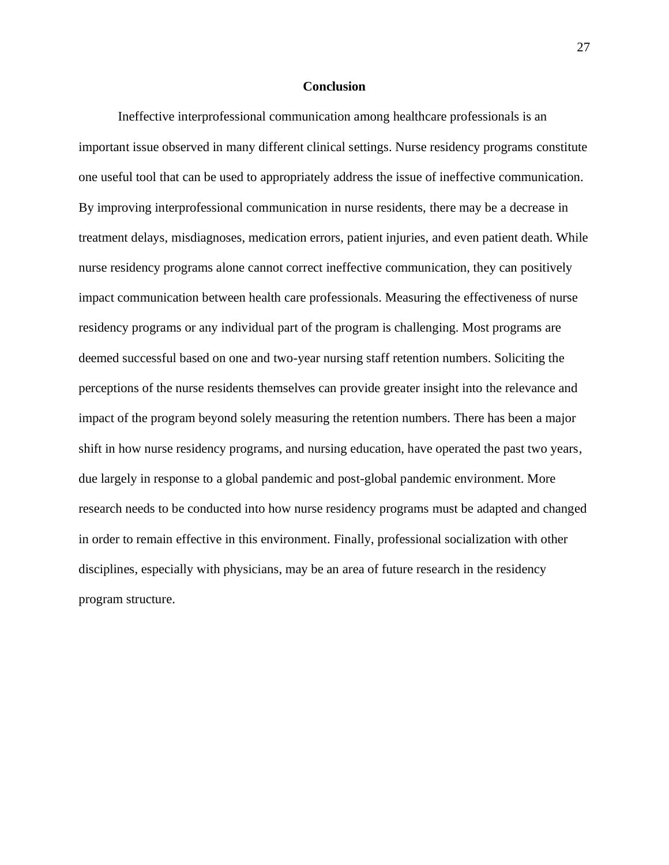#### **Conclusion**

<span id="page-27-0"></span>Ineffective interprofessional communication among healthcare professionals is an important issue observed in many different clinical settings. Nurse residency programs constitute one useful tool that can be used to appropriately address the issue of ineffective communication. By improving interprofessional communication in nurse residents, there may be a decrease in treatment delays, misdiagnoses, medication errors, patient injuries, and even patient death. While nurse residency programs alone cannot correct ineffective communication, they can positively impact communication between health care professionals. Measuring the effectiveness of nurse residency programs or any individual part of the program is challenging. Most programs are deemed successful based on one and two-year nursing staff retention numbers. Soliciting the perceptions of the nurse residents themselves can provide greater insight into the relevance and impact of the program beyond solely measuring the retention numbers. There has been a major shift in how nurse residency programs, and nursing education, have operated the past two years, due largely in response to a global pandemic and post-global pandemic environment. More research needs to be conducted into how nurse residency programs must be adapted and changed in order to remain effective in this environment. Finally, professional socialization with other disciplines, especially with physicians, may be an area of future research in the residency program structure.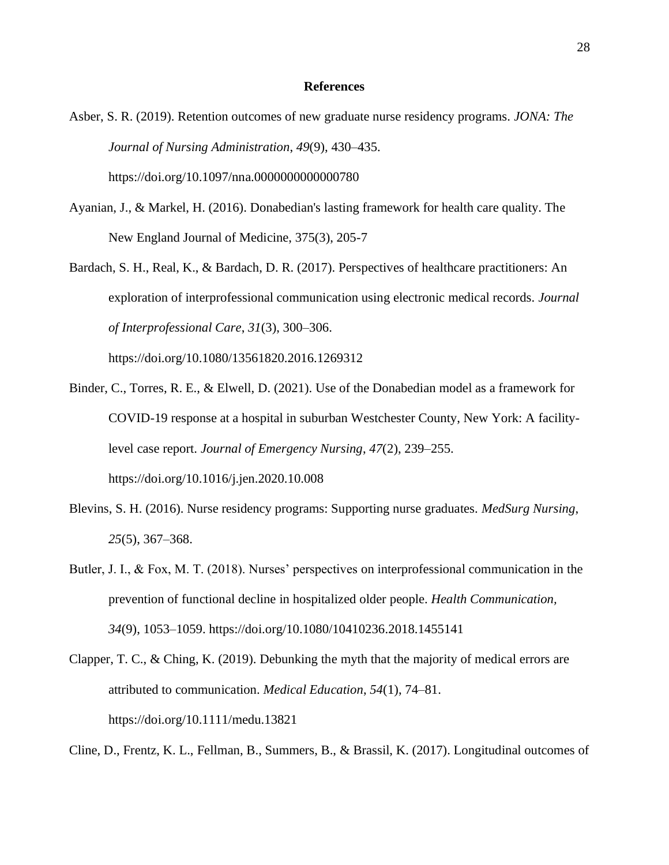#### **References**

- <span id="page-28-0"></span>Asber, S. R. (2019). Retention outcomes of new graduate nurse residency programs. *JONA: The Journal of Nursing Administration*, *49*(9), 430–435. https://doi.org/10.1097/nna.0000000000000780
- Ayanian, J., & Markel, H. (2016). Donabedian's lasting framework for health care quality. The New England Journal of Medicine, 375(3), 205-7
- Bardach, S. H., Real, K., & Bardach, D. R. (2017). Perspectives of healthcare practitioners: An exploration of interprofessional communication using electronic medical records. *Journal of Interprofessional Care*, *31*(3), 300–306.

https://doi.org/10.1080/13561820.2016.1269312

- Binder, C., Torres, R. E., & Elwell, D. (2021). Use of the Donabedian model as a framework for COVID-19 response at a hospital in suburban Westchester County, New York: A facilitylevel case report. *Journal of Emergency Nursing*, *47*(2), 239–255. https://doi.org/10.1016/j.jen.2020.10.008
- Blevins, S. H. (2016). Nurse residency programs: Supporting nurse graduates. *MedSurg Nursing*, *25*(5), 367–368.
- Butler, J. I., & Fox, M. T. (2018). Nurses' perspectives on interprofessional communication in the prevention of functional decline in hospitalized older people. *Health Communication, 34*(9), 1053–1059. https://doi.org/10.1080/10410236.2018.1455141
- Clapper, T. C., & Ching, K. (2019). Debunking the myth that the majority of medical errors are attributed to communication. *Medical Education*, *54*(1), 74–81. https://doi.org/10.1111/medu.13821

Cline, D., Frentz, K. L., Fellman, B., Summers, B., & Brassil, K. (2017). Longitudinal outcomes of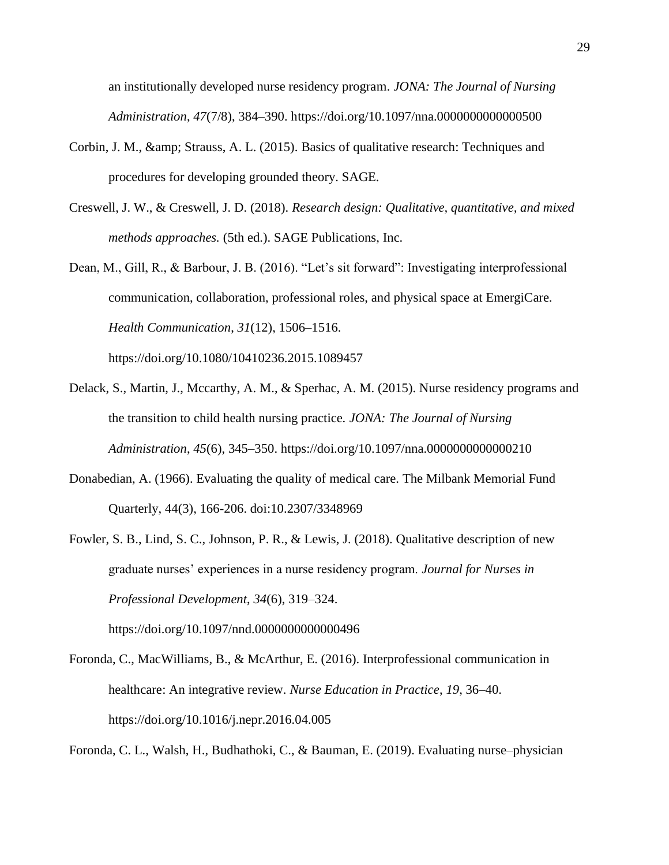an institutionally developed nurse residency program. *JONA: The Journal of Nursing Administration*, *47*(7/8), 384–390. https://doi.org/10.1097/nna.0000000000000500

- Corbin, J. M., & amp; Strauss, A. L. (2015). Basics of qualitative research: Techniques and procedures for developing grounded theory. SAGE.
- Creswell, J. W., & Creswell, J. D. (2018). *Research design: Qualitative, quantitative, and mixed methods approaches.* (5th ed.). SAGE Publications, Inc.
- Dean, M., Gill, R., & Barbour, J. B. (2016). "Let's sit forward": Investigating interprofessional communication, collaboration, professional roles, and physical space at EmergiCare. *Health Communication*, *31*(12), 1506–1516. https://doi.org/10.1080/10410236.2015.1089457
- Delack, S., Martin, J., Mccarthy, A. M., & Sperhac, A. M. (2015). Nurse residency programs and the transition to child health nursing practice. *JONA: The Journal of Nursing Administration*, *45*(6), 345–350. https://doi.org/10.1097/nna.0000000000000210
- Donabedian, A. (1966). Evaluating the quality of medical care. The Milbank Memorial Fund Quarterly, 44(3), 166-206. doi:10.2307/3348969
- Fowler, S. B., Lind, S. C., Johnson, P. R., & Lewis, J. (2018). Qualitative description of new graduate nurses' experiences in a nurse residency program. *Journal for Nurses in Professional Development*, *34*(6), 319–324.
- Foronda, C., MacWilliams, B., & McArthur, E. (2016). Interprofessional communication in healthcare: An integrative review. *Nurse Education in Practice*, *19*, 36–40.

https://doi.org/10.1097/nnd.0000000000000496

https://doi.org/10.1016/j.nepr.2016.04.005

Foronda, C. L., Walsh, H., Budhathoki, C., & Bauman, E. (2019). Evaluating nurse–physician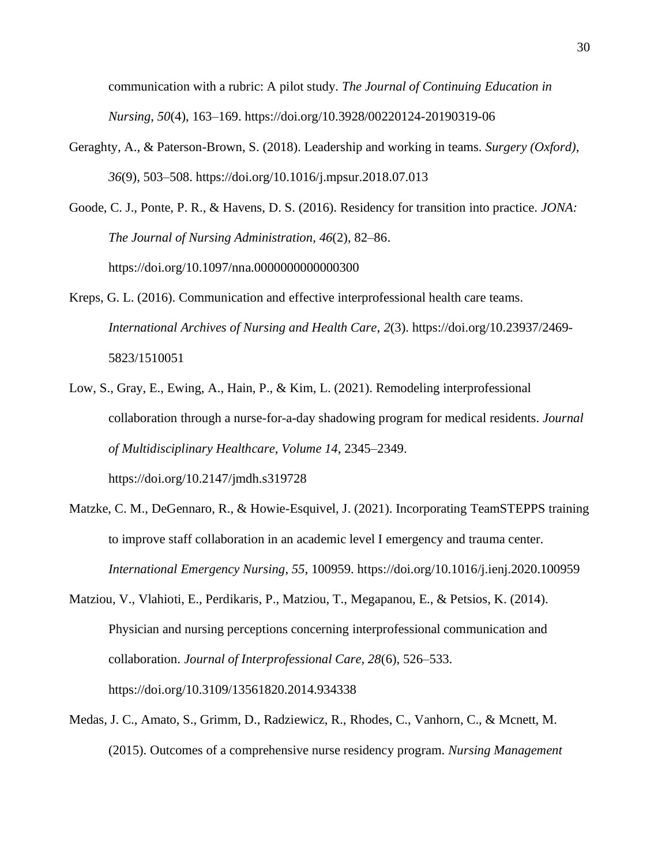communication with a rubric: A pilot study. *The Journal of Continuing Education in Nursing*, *50*(4), 163–169. https://doi.org/10.3928/00220124-20190319-06

- Geraghty, A., & Paterson-Brown, S. (2018). Leadership and working in teams. *Surgery (Oxford)*, *36*(9), 503–508. https://doi.org/10.1016/j.mpsur.2018.07.013
- Goode, C. J., Ponte, P. R., & Havens, D. S. (2016). Residency for transition into practice. *JONA: The Journal of Nursing Administration*, *46*(2), 82–86. https://doi.org/10.1097/nna.0000000000000300
- Kreps, G. L. (2016). Communication and effective interprofessional health care teams. *International Archives of Nursing and Health Care*, *2*(3). https://doi.org/10.23937/2469- 5823/1510051
- Low, S., Gray, E., Ewing, A., Hain, P., & Kim, L. (2021). Remodeling interprofessional collaboration through a nurse-for-a-day shadowing program for medical residents. *Journal of Multidisciplinary Healthcare*, *Volume 14*, 2345–2349. https://doi.org/10.2147/jmdh.s319728
- Matzke, C. M., DeGennaro, R., & Howie-Esquivel, J. (2021). Incorporating TeamSTEPPS training to improve staff collaboration in an academic level I emergency and trauma center. *International Emergency Nursing*, *55*, 100959. https://doi.org/10.1016/j.ienj.2020.100959
- Matziou, V., Vlahioti, E., Perdikaris, P., Matziou, T., Megapanou, E., & Petsios, K. (2014). Physician and nursing perceptions concerning interprofessional communication and collaboration. *Journal of Interprofessional Care, 28*(6), 526–533. https://doi.org/10.3109/13561820.2014.934338
- Medas, J. C., Amato, S., Grimm, D., Radziewicz, R., Rhodes, C., Vanhorn, C., & Mcnett, M. (2015). Outcomes of a comprehensive nurse residency program. *Nursing Management*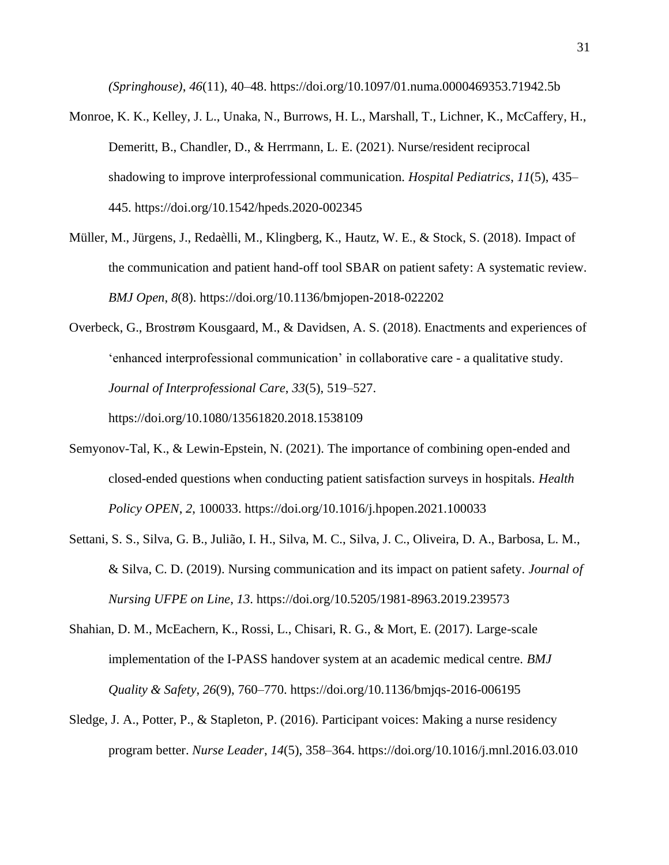*(Springhouse)*, *46*(11), 40–48. https://doi.org/10.1097/01.numa.0000469353.71942.5b

- Monroe, K. K., Kelley, J. L., Unaka, N., Burrows, H. L., Marshall, T., Lichner, K., McCaffery, H., Demeritt, B., Chandler, D., & Herrmann, L. E. (2021). Nurse/resident reciprocal shadowing to improve interprofessional communication. *Hospital Pediatrics*, *11*(5), 435– 445. https://doi.org/10.1542/hpeds.2020-002345
- Müller, M., Jürgens, J., Redaèlli, M., Klingberg, K., Hautz, W. E., & Stock, S. (2018). Impact of the communication and patient hand-off tool SBAR on patient safety: A systematic review. *BMJ Open*, *8*(8). https://doi.org/10.1136/bmjopen-2018-022202
- Overbeck, G., Brostrøm Kousgaard, M., & Davidsen, A. S. (2018). Enactments and experiences of 'enhanced interprofessional communication' in collaborative care - a qualitative study. *Journal of Interprofessional Care*, *33*(5), 519–527. https://doi.org/10.1080/13561820.2018.1538109
- Semyonov-Tal, K., & Lewin-Epstein, N. (2021). The importance of combining open-ended and closed-ended questions when conducting patient satisfaction surveys in hospitals. *Health Policy OPEN*, *2*, 100033. https://doi.org/10.1016/j.hpopen.2021.100033
- Settani, S. S., Silva, G. B., Julião, I. H., Silva, M. C., Silva, J. C., Oliveira, D. A., Barbosa, L. M., & Silva, C. D. (2019). Nursing communication and its impact on patient safety. *Journal of Nursing UFPE on Line*, *13*. https://doi.org/10.5205/1981-8963.2019.239573
- Shahian, D. M., McEachern, K., Rossi, L., Chisari, R. G., & Mort, E. (2017). Large-scale implementation of the I-PASS handover system at an academic medical centre. *BMJ Quality & Safety*, *26*(9), 760–770. https://doi.org/10.1136/bmjqs-2016-006195
- Sledge, J. A., Potter, P., & Stapleton, P. (2016). Participant voices: Making a nurse residency program better. *Nurse Leader*, *14*(5), 358–364. https://doi.org/10.1016/j.mnl.2016.03.010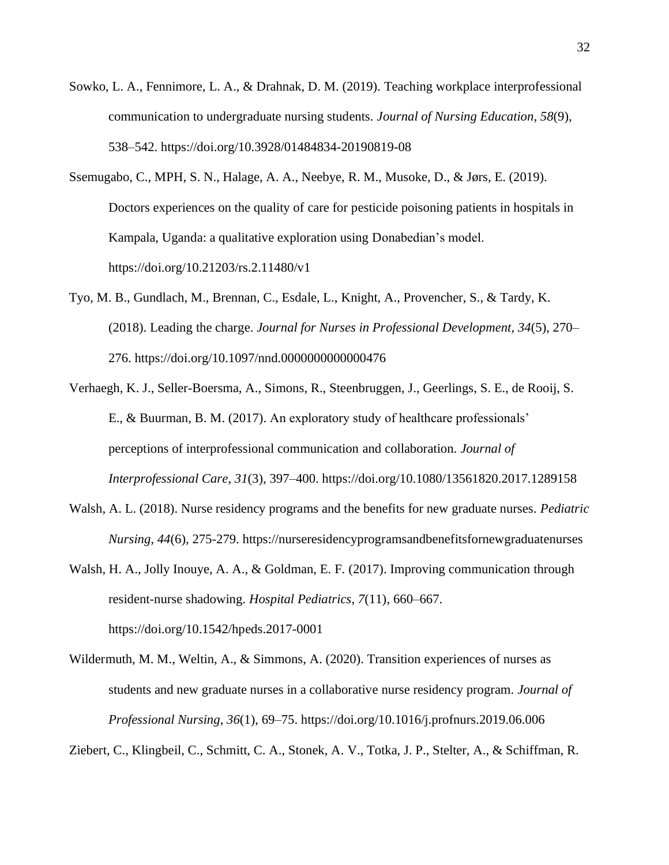- Sowko, L. A., Fennimore, L. A., & Drahnak, D. M. (2019). Teaching workplace interprofessional communication to undergraduate nursing students. *Journal of Nursing Education*, *58*(9), 538–542. https://doi.org/10.3928/01484834-20190819-08
- Ssemugabo, C., MPH, S. N., Halage, A. A., Neebye, R. M., Musoke, D., & Jørs, E. (2019). Doctors experiences on the quality of care for pesticide poisoning patients in hospitals in Kampala, Uganda: a qualitative exploration using Donabedian's model. https://doi.org/10.21203/rs.2.11480/v1
- Tyo, M. B., Gundlach, M., Brennan, C., Esdale, L., Knight, A., Provencher, S., & Tardy, K. (2018). Leading the charge. *Journal for Nurses in Professional Development*, *34*(5), 270– 276. https://doi.org/10.1097/nnd.0000000000000476
- Verhaegh, K. J., Seller-Boersma, A., Simons, R., Steenbruggen, J., Geerlings, S. E., de Rooij, S. E., & Buurman, B. M. (2017). An exploratory study of healthcare professionals' perceptions of interprofessional communication and collaboration. *Journal of Interprofessional Care*, *31*(3), 397–400. https://doi.org/10.1080/13561820.2017.1289158
- Walsh, A. L. (2018). Nurse residency programs and the benefits for new graduate nurses. *Pediatric Nursing, 44*(6), 275-279. https://nurseresidencyprogramsandbenefitsfornewgraduatenurses
- Walsh, H. A., Jolly Inouye, A. A., & Goldman, E. F. (2017). Improving communication through resident-nurse shadowing. *Hospital Pediatrics*, *7*(11), 660–667. https://doi.org/10.1542/hpeds.2017-0001
- Wildermuth, M. M., Weltin, A., & Simmons, A. (2020). Transition experiences of nurses as students and new graduate nurses in a collaborative nurse residency program. *Journal of Professional Nursing*, *36*(1), 69–75. https://doi.org/10.1016/j.profnurs.2019.06.006

Ziebert, C., Klingbeil, C., Schmitt, C. A., Stonek, A. V., Totka, J. P., Stelter, A., & Schiffman, R.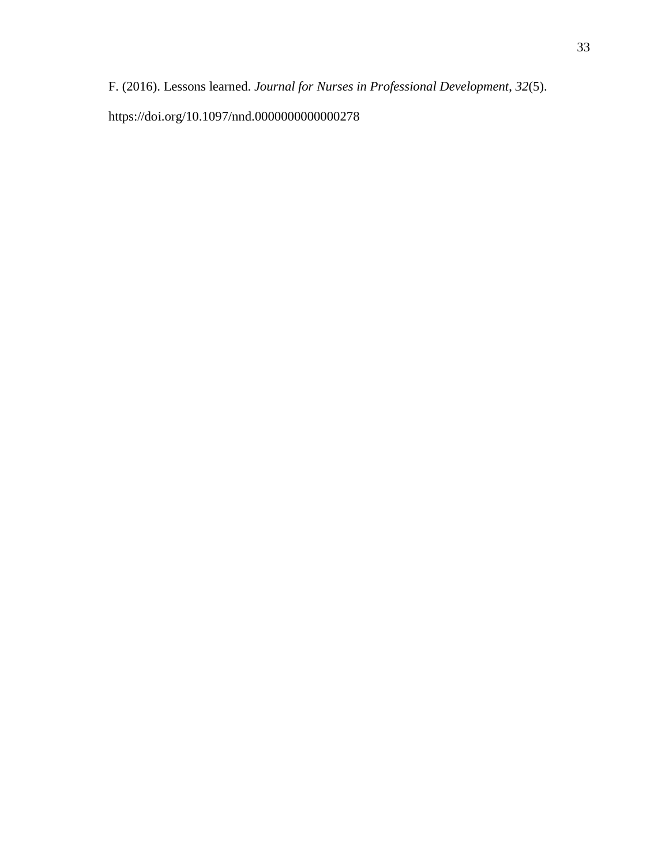F. (2016). Lessons learned. *Journal for Nurses in Professional Development*, *32*(5). https://doi.org/10.1097/nnd.0000000000000278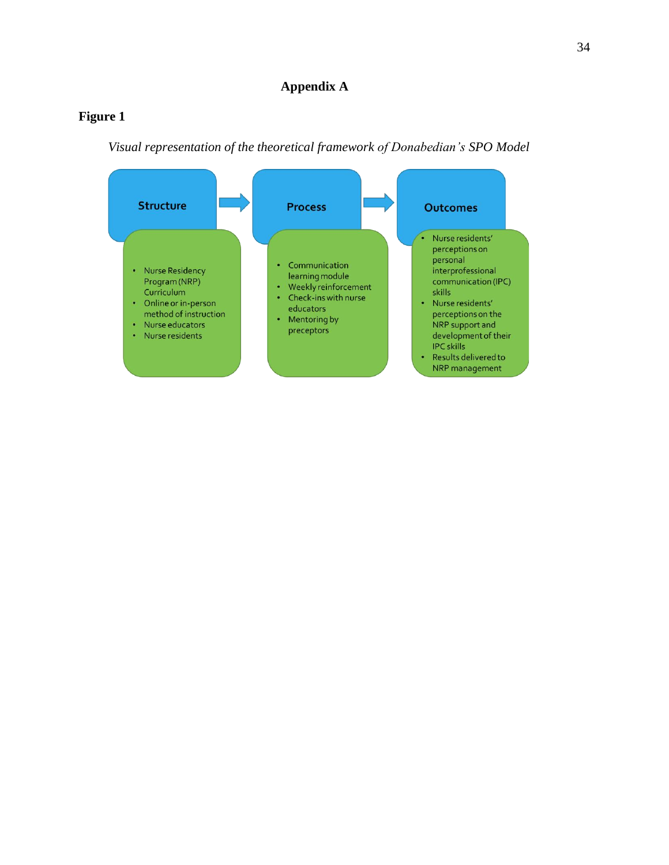## <span id="page-34-1"></span><span id="page-34-0"></span>**Figure 1**

*Visual representation of the theoretical framework of Donabedian's SPO Model*

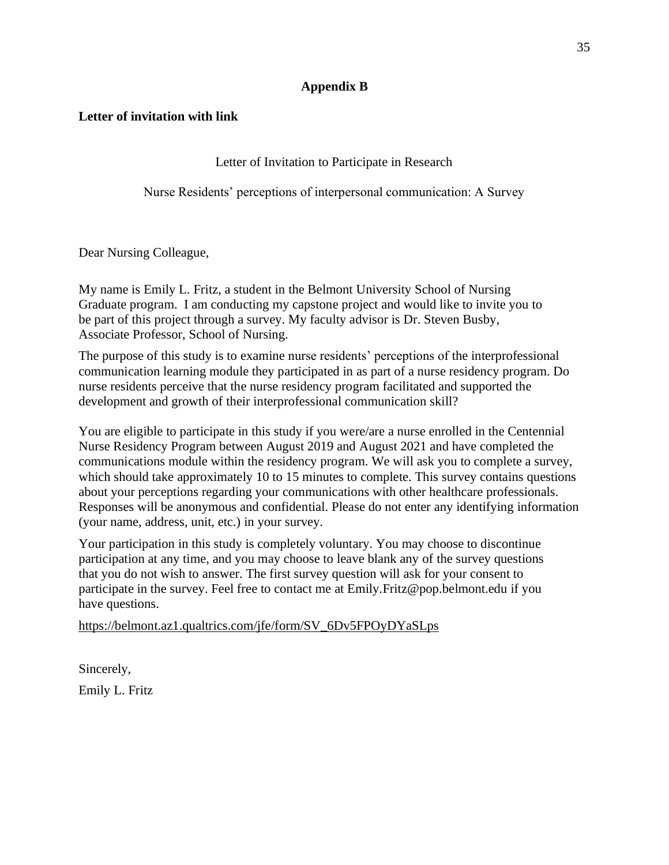## **Appendix B**

## <span id="page-35-1"></span><span id="page-35-0"></span>**Letter of invitation with link**

Letter of Invitation to Participate in Research

Nurse Residents' perceptions of interpersonal communication: A Survey

Dear Nursing Colleague,

My name is Emily L. Fritz, a student in the Belmont University School of Nursing Graduate program. I am conducting my capstone project and would like to invite you to be part of this project through a survey. My faculty advisor is Dr. Steven Busby, Associate Professor, School of Nursing.

The purpose of this study is to examine nurse residents' perceptions of the interprofessional communication learning module they participated in as part of a nurse residency program. Do nurse residents perceive that the nurse residency program facilitated and supported the development and growth of their interprofessional communication skill?

You are eligible to participate in this study if you were/are a nurse enrolled in the Centennial Nurse Residency Program between August 2019 and August 2021 and have completed the communications module within the residency program. We will ask you to complete a survey, which should take approximately 10 to 15 minutes to complete. This survey contains questions about your perceptions regarding your communications with other healthcare professionals. Responses will be anonymous and confidential. Please do not enter any identifying information (your name, address, unit, etc.) in your survey.

Your participation in this study is completely voluntary. You may choose to discontinue participation at any time, and you may choose to leave blank any of the survey questions that you do not wish to answer. The first survey question will ask for your consent to participate in the survey. Feel free to contact me at Emily.Fritz@pop.belmont.edu if you have questions.

https://belmont.az1.qualtrics.com/jfe/form/SV\_6Dv5FPOyDYaSLps

Sincerely, Emily L. Fritz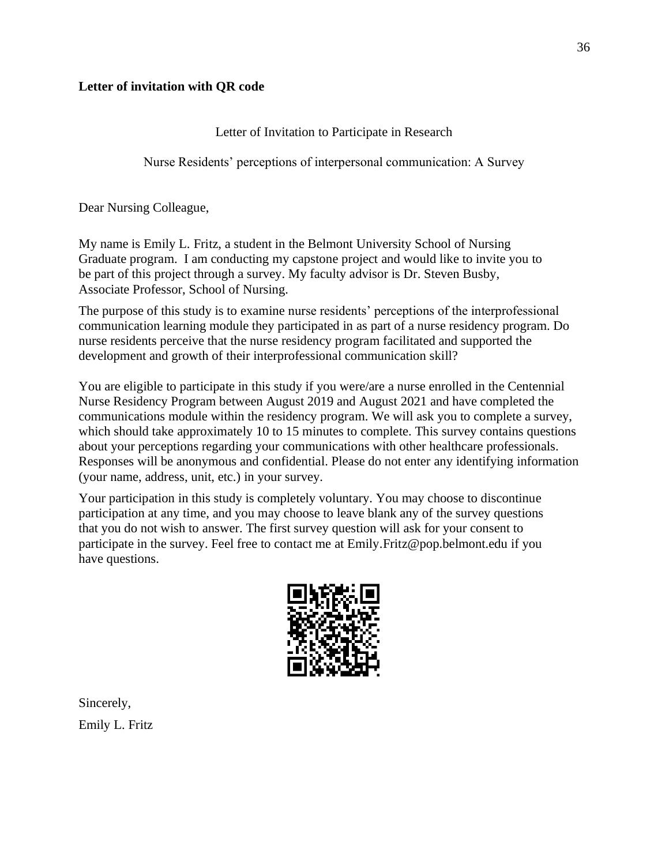## <span id="page-36-0"></span>**Letter of invitation with QR code**

Letter of Invitation to Participate in Research

Nurse Residents' perceptions of interpersonal communication: A Survey

Dear Nursing Colleague,

My name is Emily L. Fritz, a student in the Belmont University School of Nursing Graduate program. I am conducting my capstone project and would like to invite you to be part of this project through a survey. My faculty advisor is Dr. Steven Busby, Associate Professor, School of Nursing.

The purpose of this study is to examine nurse residents' perceptions of the interprofessional communication learning module they participated in as part of a nurse residency program. Do nurse residents perceive that the nurse residency program facilitated and supported the development and growth of their interprofessional communication skill?

You are eligible to participate in this study if you were/are a nurse enrolled in the Centennial Nurse Residency Program between August 2019 and August 2021 and have completed the communications module within the residency program. We will ask you to complete a survey, which should take approximately 10 to 15 minutes to complete. This survey contains questions about your perceptions regarding your communications with other healthcare professionals. Responses will be anonymous and confidential. Please do not enter any identifying information (your name, address, unit, etc.) in your survey.

Your participation in this study is completely voluntary. You may choose to discontinue participation at any time, and you may choose to leave blank any of the survey questions that you do not wish to answer. The first survey question will ask for your consent to participate in the survey. Feel free to contact me at Emily.Fritz@pop.belmont.edu if you have questions.



Sincerely, Emily L. Fritz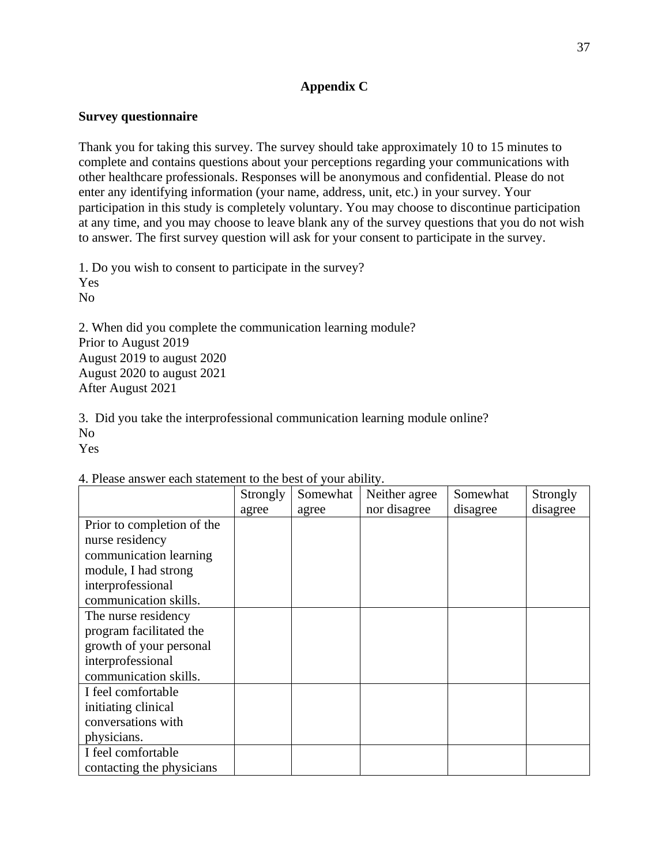## **Appendix C**

## <span id="page-37-1"></span><span id="page-37-0"></span>**Survey questionnaire**

Thank you for taking this survey. The survey should take approximately 10 to 15 minutes to complete and contains questions about your perceptions regarding your communications with other healthcare professionals. Responses will be anonymous and confidential. Please do not enter any identifying information (your name, address, unit, etc.) in your survey. Your participation in this study is completely voluntary. You may choose to discontinue participation at any time, and you may choose to leave blank any of the survey questions that you do not wish to answer. The first survey question will ask for your consent to participate in the survey.

1. Do you wish to consent to participate in the survey? Yes No

2. When did you complete the communication learning module? Prior to August 2019 August 2019 to august 2020 August 2020 to august 2021 After August 2021

3. Did you take the interprofessional communication learning module online? No Yes

|                            | Strongly | Somewhat | Neither agree | Somewhat | Strongly |
|----------------------------|----------|----------|---------------|----------|----------|
|                            | agree    | agree    | nor disagree  | disagree | disagree |
| Prior to completion of the |          |          |               |          |          |
| nurse residency            |          |          |               |          |          |
| communication learning     |          |          |               |          |          |
| module, I had strong       |          |          |               |          |          |
| interprofessional          |          |          |               |          |          |
| communication skills.      |          |          |               |          |          |
| The nurse residency        |          |          |               |          |          |
| program facilitated the    |          |          |               |          |          |
| growth of your personal    |          |          |               |          |          |
| interprofessional          |          |          |               |          |          |
| communication skills.      |          |          |               |          |          |
| I feel comfortable         |          |          |               |          |          |
| initiating clinical        |          |          |               |          |          |
| conversations with         |          |          |               |          |          |
| physicians.                |          |          |               |          |          |
| I feel comfortable         |          |          |               |          |          |
| contacting the physicians  |          |          |               |          |          |

### 4. Please answer each statement to the best of your ability.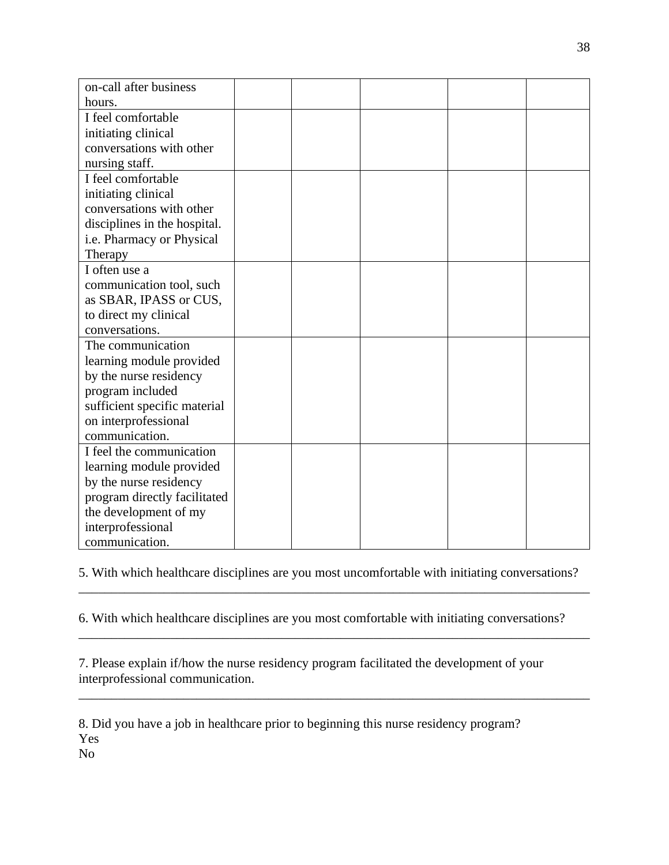| on-call after business       |  |  |  |
|------------------------------|--|--|--|
| hours.                       |  |  |  |
| I feel comfortable           |  |  |  |
| initiating clinical          |  |  |  |
| conversations with other     |  |  |  |
| nursing staff.               |  |  |  |
| I feel comfortable           |  |  |  |
| initiating clinical          |  |  |  |
| conversations with other     |  |  |  |
| disciplines in the hospital. |  |  |  |
| i.e. Pharmacy or Physical    |  |  |  |
| Therapy                      |  |  |  |
| I often use a                |  |  |  |
| communication tool, such     |  |  |  |
| as SBAR, IPASS or CUS,       |  |  |  |
| to direct my clinical        |  |  |  |
| conversations.               |  |  |  |
| The communication            |  |  |  |
| learning module provided     |  |  |  |
| by the nurse residency       |  |  |  |
| program included             |  |  |  |
| sufficient specific material |  |  |  |
| on interprofessional         |  |  |  |
| communication.               |  |  |  |
| I feel the communication     |  |  |  |
| learning module provided     |  |  |  |
| by the nurse residency       |  |  |  |
| program directly facilitated |  |  |  |
| the development of my        |  |  |  |
| interprofessional            |  |  |  |
| communication.               |  |  |  |

5. With which healthcare disciplines are you most uncomfortable with initiating conversations? \_\_\_\_\_\_\_\_\_\_\_\_\_\_\_\_\_\_\_\_\_\_\_\_\_\_\_\_\_\_\_\_\_\_\_\_\_\_\_\_\_\_\_\_\_\_\_\_\_\_\_\_\_\_\_\_\_\_\_\_\_\_\_\_\_\_\_\_\_\_\_\_\_\_\_\_\_\_

6. With which healthcare disciplines are you most comfortable with initiating conversations?

\_\_\_\_\_\_\_\_\_\_\_\_\_\_\_\_\_\_\_\_\_\_\_\_\_\_\_\_\_\_\_\_\_\_\_\_\_\_\_\_\_\_\_\_\_\_\_\_\_\_\_\_\_\_\_\_\_\_\_\_\_\_\_\_\_\_\_\_\_\_\_\_\_\_\_\_\_\_

\_\_\_\_\_\_\_\_\_\_\_\_\_\_\_\_\_\_\_\_\_\_\_\_\_\_\_\_\_\_\_\_\_\_\_\_\_\_\_\_\_\_\_\_\_\_\_\_\_\_\_\_\_\_\_\_\_\_\_\_\_\_\_\_\_\_\_\_\_\_\_\_\_\_\_\_\_\_

7. Please explain if/how the nurse residency program facilitated the development of your interprofessional communication.

8. Did you have a job in healthcare prior to beginning this nurse residency program? Yes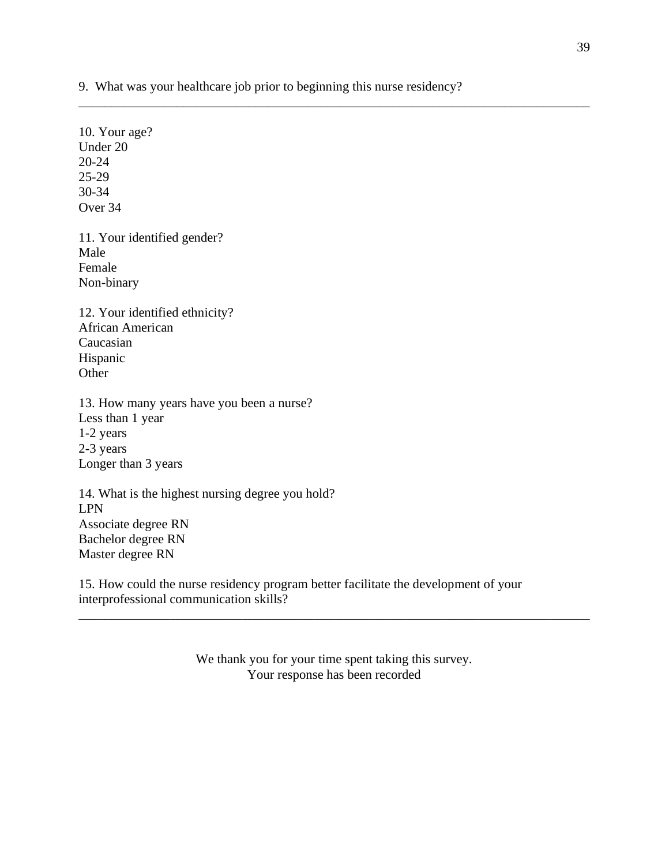9. What was your healthcare job prior to beginning this nurse residency?

\_\_\_\_\_\_\_\_\_\_\_\_\_\_\_\_\_\_\_\_\_\_\_\_\_\_\_\_\_\_\_\_\_\_\_\_\_\_\_\_\_\_\_\_\_\_\_\_\_\_\_\_\_\_\_\_\_\_\_\_\_\_\_\_\_\_\_\_\_\_\_\_\_\_\_\_\_\_

10. Your age? Under 20 20-24 25-29 30-34 Over 34 11. Your identified gender? Male Female Non-binary 12. Your identified ethnicity? African American Caucasian Hispanic **Other** 13. How many years have you been a nurse? Less than 1 year 1-2 years 2-3 years Longer than 3 years 14. What is the highest nursing degree you hold? LPN Associate degree RN Bachelor degree RN

Master degree RN

15. How could the nurse residency program better facilitate the development of your interprofessional communication skills?

> We thank you for your time spent taking this survey. Your response has been recorded

\_\_\_\_\_\_\_\_\_\_\_\_\_\_\_\_\_\_\_\_\_\_\_\_\_\_\_\_\_\_\_\_\_\_\_\_\_\_\_\_\_\_\_\_\_\_\_\_\_\_\_\_\_\_\_\_\_\_\_\_\_\_\_\_\_\_\_\_\_\_\_\_\_\_\_\_\_\_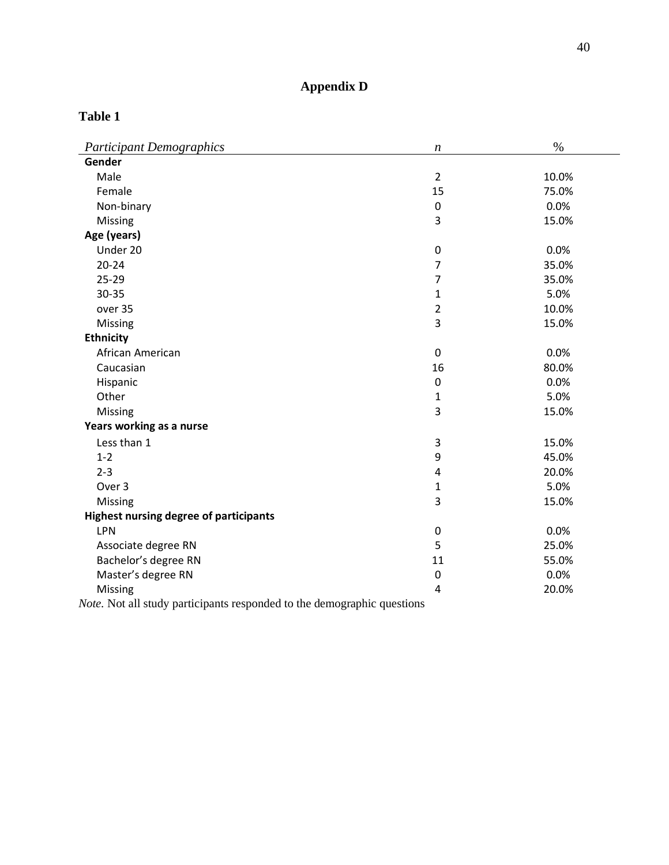# **Appendix D**

## <span id="page-40-1"></span><span id="page-40-0"></span>**Table 1**

| Gender<br>Male<br>$\overline{2}$<br>10.0%<br>Female<br>15<br>75.0%<br>Non-binary<br>$\mathbf 0$<br>0.0%<br>3<br>15.0%<br>Missing<br>Age (years)<br>Under 20<br>0.0%<br>0<br>$20 - 24$<br>$\overline{7}$<br>35.0%<br>$\overline{7}$<br>25-29<br>35.0%<br>30-35<br>5.0%<br>$\mathbf{1}$<br>$\overline{2}$<br>10.0%<br>over 35<br>3<br>Missing<br>15.0%<br><b>Ethnicity</b><br>African American<br>$\mathbf 0$<br>0.0%<br>Caucasian<br>16<br>80.0%<br>Hispanic<br>$\boldsymbol{0}$<br>0.0%<br>Other<br>5.0%<br>$\mathbf{1}$<br>3<br>Missing<br>15.0%<br>Years working as a nurse<br>Less than 1<br>3<br>15.0%<br>9<br>45.0%<br>$1 - 2$<br>$2 - 3$<br>$\overline{\mathbf{4}}$<br>20.0%<br>Over 3<br>5.0%<br>$\mathbf{1}$<br>3<br>15.0%<br>Missing<br><b>Highest nursing degree of participants</b><br>0.0%<br>LPN<br>0<br>Associate degree RN<br>5<br>25.0%<br>Bachelor's degree RN<br>11<br>55.0%<br>Master's degree RN<br>0.0%<br>$\pmb{0}$ | <b>Participant Demographics</b> | $\boldsymbol{n}$ | $\%$  |
|-------------------------------------------------------------------------------------------------------------------------------------------------------------------------------------------------------------------------------------------------------------------------------------------------------------------------------------------------------------------------------------------------------------------------------------------------------------------------------------------------------------------------------------------------------------------------------------------------------------------------------------------------------------------------------------------------------------------------------------------------------------------------------------------------------------------------------------------------------------------------------------------------------------------------------------------|---------------------------------|------------------|-------|
|                                                                                                                                                                                                                                                                                                                                                                                                                                                                                                                                                                                                                                                                                                                                                                                                                                                                                                                                           |                                 |                  |       |
|                                                                                                                                                                                                                                                                                                                                                                                                                                                                                                                                                                                                                                                                                                                                                                                                                                                                                                                                           |                                 |                  |       |
|                                                                                                                                                                                                                                                                                                                                                                                                                                                                                                                                                                                                                                                                                                                                                                                                                                                                                                                                           |                                 |                  |       |
|                                                                                                                                                                                                                                                                                                                                                                                                                                                                                                                                                                                                                                                                                                                                                                                                                                                                                                                                           |                                 |                  |       |
|                                                                                                                                                                                                                                                                                                                                                                                                                                                                                                                                                                                                                                                                                                                                                                                                                                                                                                                                           |                                 |                  |       |
|                                                                                                                                                                                                                                                                                                                                                                                                                                                                                                                                                                                                                                                                                                                                                                                                                                                                                                                                           |                                 |                  |       |
|                                                                                                                                                                                                                                                                                                                                                                                                                                                                                                                                                                                                                                                                                                                                                                                                                                                                                                                                           |                                 |                  |       |
|                                                                                                                                                                                                                                                                                                                                                                                                                                                                                                                                                                                                                                                                                                                                                                                                                                                                                                                                           |                                 |                  |       |
|                                                                                                                                                                                                                                                                                                                                                                                                                                                                                                                                                                                                                                                                                                                                                                                                                                                                                                                                           |                                 |                  |       |
|                                                                                                                                                                                                                                                                                                                                                                                                                                                                                                                                                                                                                                                                                                                                                                                                                                                                                                                                           |                                 |                  |       |
|                                                                                                                                                                                                                                                                                                                                                                                                                                                                                                                                                                                                                                                                                                                                                                                                                                                                                                                                           |                                 |                  |       |
|                                                                                                                                                                                                                                                                                                                                                                                                                                                                                                                                                                                                                                                                                                                                                                                                                                                                                                                                           |                                 |                  |       |
|                                                                                                                                                                                                                                                                                                                                                                                                                                                                                                                                                                                                                                                                                                                                                                                                                                                                                                                                           |                                 |                  |       |
|                                                                                                                                                                                                                                                                                                                                                                                                                                                                                                                                                                                                                                                                                                                                                                                                                                                                                                                                           |                                 |                  |       |
|                                                                                                                                                                                                                                                                                                                                                                                                                                                                                                                                                                                                                                                                                                                                                                                                                                                                                                                                           |                                 |                  |       |
|                                                                                                                                                                                                                                                                                                                                                                                                                                                                                                                                                                                                                                                                                                                                                                                                                                                                                                                                           |                                 |                  |       |
|                                                                                                                                                                                                                                                                                                                                                                                                                                                                                                                                                                                                                                                                                                                                                                                                                                                                                                                                           |                                 |                  |       |
|                                                                                                                                                                                                                                                                                                                                                                                                                                                                                                                                                                                                                                                                                                                                                                                                                                                                                                                                           |                                 |                  |       |
|                                                                                                                                                                                                                                                                                                                                                                                                                                                                                                                                                                                                                                                                                                                                                                                                                                                                                                                                           |                                 |                  |       |
|                                                                                                                                                                                                                                                                                                                                                                                                                                                                                                                                                                                                                                                                                                                                                                                                                                                                                                                                           |                                 |                  |       |
|                                                                                                                                                                                                                                                                                                                                                                                                                                                                                                                                                                                                                                                                                                                                                                                                                                                                                                                                           |                                 |                  |       |
|                                                                                                                                                                                                                                                                                                                                                                                                                                                                                                                                                                                                                                                                                                                                                                                                                                                                                                                                           |                                 |                  |       |
|                                                                                                                                                                                                                                                                                                                                                                                                                                                                                                                                                                                                                                                                                                                                                                                                                                                                                                                                           |                                 |                  |       |
|                                                                                                                                                                                                                                                                                                                                                                                                                                                                                                                                                                                                                                                                                                                                                                                                                                                                                                                                           |                                 |                  |       |
|                                                                                                                                                                                                                                                                                                                                                                                                                                                                                                                                                                                                                                                                                                                                                                                                                                                                                                                                           |                                 |                  |       |
|                                                                                                                                                                                                                                                                                                                                                                                                                                                                                                                                                                                                                                                                                                                                                                                                                                                                                                                                           |                                 |                  |       |
|                                                                                                                                                                                                                                                                                                                                                                                                                                                                                                                                                                                                                                                                                                                                                                                                                                                                                                                                           |                                 |                  |       |
|                                                                                                                                                                                                                                                                                                                                                                                                                                                                                                                                                                                                                                                                                                                                                                                                                                                                                                                                           |                                 |                  |       |
|                                                                                                                                                                                                                                                                                                                                                                                                                                                                                                                                                                                                                                                                                                                                                                                                                                                                                                                                           |                                 |                  |       |
|                                                                                                                                                                                                                                                                                                                                                                                                                                                                                                                                                                                                                                                                                                                                                                                                                                                                                                                                           | Missing                         | 4                | 20.0% |

*Note.* Not all study participants responded to the demographic questions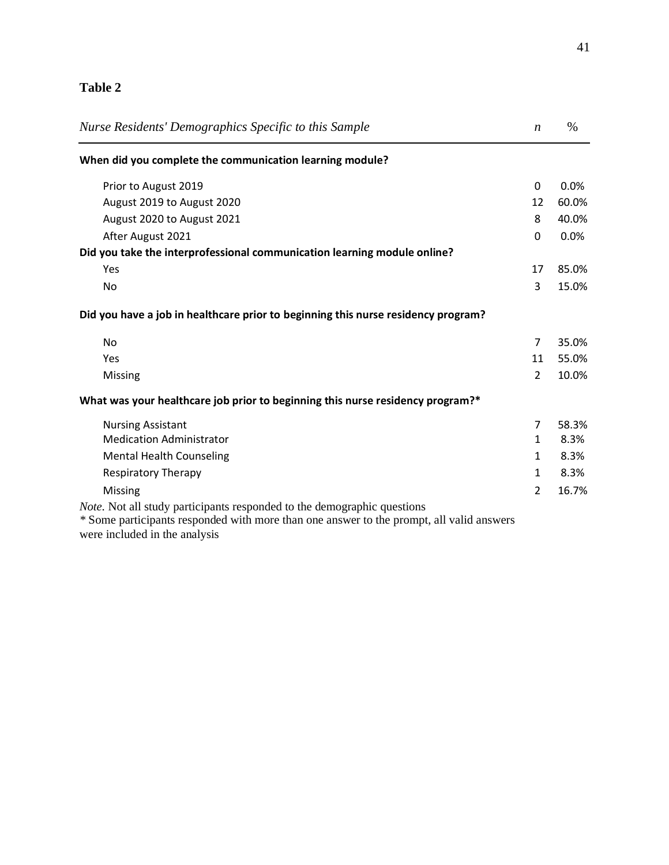# <span id="page-41-0"></span>**Table 2**

| Nurse Residents' Demographics Specific to this Sample                                    | $\boldsymbol{n}$ | $\%$  |
|------------------------------------------------------------------------------------------|------------------|-------|
| When did you complete the communication learning module?                                 |                  |       |
| Prior to August 2019                                                                     | 0                | 0.0%  |
| August 2019 to August 2020                                                               | 12               | 60.0% |
| August 2020 to August 2021                                                               | 8                | 40.0% |
| After August 2021                                                                        | 0                | 0.0%  |
| Did you take the interprofessional communication learning module online?                 |                  |       |
| Yes                                                                                      | 17               | 85.0% |
| No                                                                                       | 3                | 15.0% |
| Did you have a job in healthcare prior to beginning this nurse residency program?        |                  |       |
| <b>No</b>                                                                                | $\overline{7}$   | 35.0% |
| Yes                                                                                      | 11               | 55.0% |
| Missing                                                                                  | $\overline{2}$   | 10.0% |
| What was your healthcare job prior to beginning this nurse residency program?*           |                  |       |
| <b>Nursing Assistant</b>                                                                 | 7                | 58.3% |
| <b>Medication Administrator</b>                                                          | $\mathbf{1}$     | 8.3%  |
| <b>Mental Health Counseling</b>                                                          | $\mathbf{1}$     | 8.3%  |
| <b>Respiratory Therapy</b>                                                               | 1                | 8.3%  |
| <b>Missing</b>                                                                           | 2                | 16.7% |
| <i>Note.</i> Not all study participants responded to the demographic questions           |                  |       |
| * Some participants responded with more than one answer to the prompt, all valid answers |                  |       |

were included in the analysis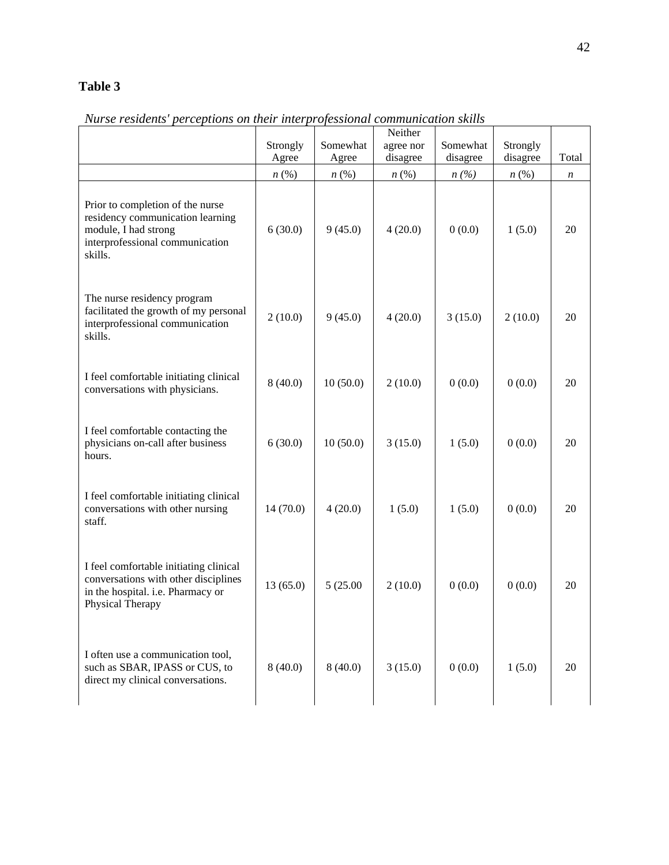# <span id="page-42-0"></span>**Table 3**

|                                                                                                                                            | Strongly<br>Agree  | Somewhat<br>Agree  | Neither<br>agree nor<br>disagree | Somewhat<br>disagree | Strongly<br>disagree | Total            |  |
|--------------------------------------------------------------------------------------------------------------------------------------------|--------------------|--------------------|----------------------------------|----------------------|----------------------|------------------|--|
|                                                                                                                                            | $n\left(\%\right)$ | $n\left(\%\right)$ | $n\left(\%\right)$               | n(%)                 | $n\,(\%)$            | $\boldsymbol{n}$ |  |
| Prior to completion of the nurse<br>residency communication learning<br>module, I had strong<br>interprofessional communication<br>skills. | 6(30.0)            | 9(45.0)            | 4(20.0)                          | 0(0.0)               | 1(5.0)               | 20               |  |
| The nurse residency program<br>facilitated the growth of my personal<br>interprofessional communication<br>skills.                         | 2(10.0)            | 9(45.0)            | 4(20.0)                          | 3(15.0)              | 2(10.0)              | 20               |  |
| I feel comfortable initiating clinical<br>conversations with physicians.                                                                   | 8(40.0)            | 10(50.0)           | 2(10.0)                          | 0(0.0)               | 0(0.0)               | 20               |  |
| I feel comfortable contacting the<br>physicians on-call after business<br>hours.                                                           | 6(30.0)            | 10(50.0)           | 3(15.0)                          | 1(5.0)               | 0(0.0)               | 20               |  |
| I feel comfortable initiating clinical<br>conversations with other nursing<br>staff.                                                       | 14(70.0)           | 4(20.0)            | 1(5.0)                           | 1(5.0)               | 0(0.0)               | 20               |  |
| I feel comfortable initiating clinical<br>conversations with other disciplines<br>in the hospital. i.e. Pharmacy or<br>Physical Therapy    | 13(65.0)           | 5(25.00)           | 2(10.0)                          | 0(0.0)               | 0(0.0)               | 20               |  |
| I often use a communication tool,<br>such as SBAR, IPASS or CUS, to<br>direct my clinical conversations.                                   | 8(40.0)            | 8(40.0)            | 3(15.0)                          | 0(0.0)               | 1(5.0)               | 20               |  |

*Nurse residents' perceptions on their interprofessional communication skills*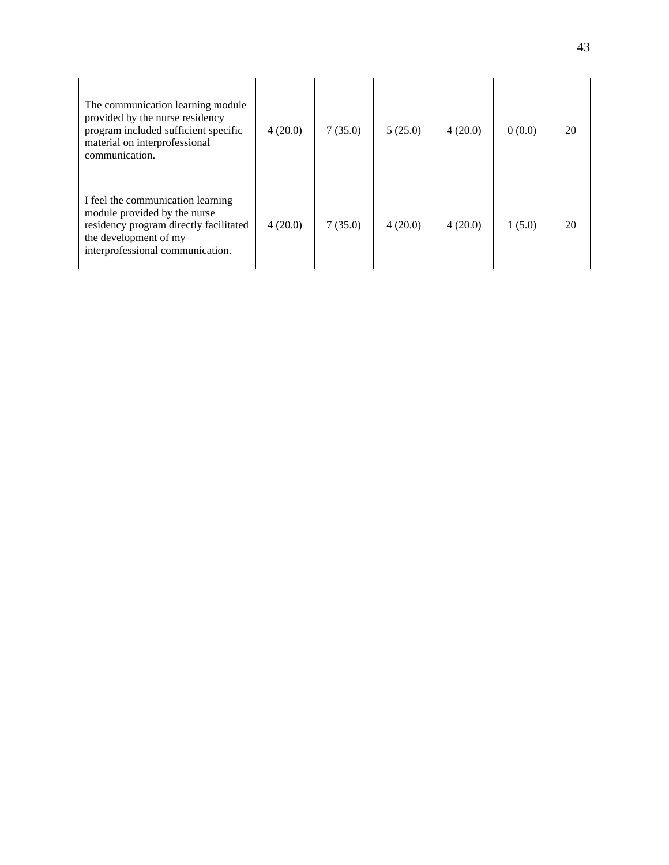| The communication learning module<br>provided by the nurse residency<br>program included sufficient specific<br>material on interprofessional<br>communication.          | 4(20.0) | 7(35.0) | 5(25.0) | 4(20.0) | 0(0.0) | 20 |
|--------------------------------------------------------------------------------------------------------------------------------------------------------------------------|---------|---------|---------|---------|--------|----|
| I feel the communication learning<br>module provided by the nurse<br>residency program directly facilitated<br>the development of my<br>interprofessional communication. | 4(20.0) | 7(35.0) | 4(20.0) | 4(20.0) | 1(5.0) | 20 |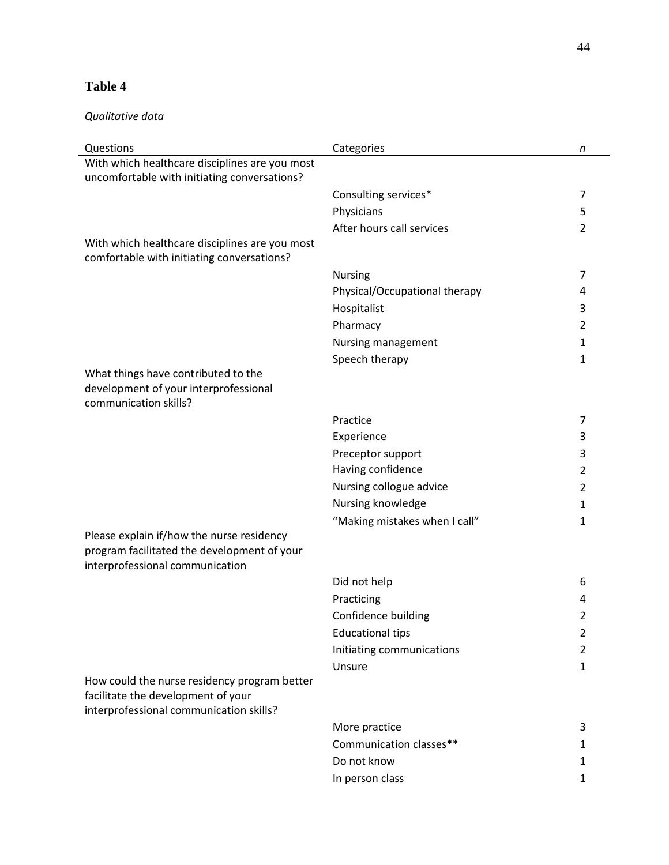# <span id="page-44-0"></span>**Table 4**

### *Qualitative data*

| Questions                                                                                                                     | Categories                    | n |
|-------------------------------------------------------------------------------------------------------------------------------|-------------------------------|---|
| With which healthcare disciplines are you most                                                                                |                               |   |
| uncomfortable with initiating conversations?                                                                                  |                               |   |
|                                                                                                                               | Consulting services*          | 7 |
|                                                                                                                               | Physicians                    | 5 |
|                                                                                                                               | After hours call services     | 2 |
| With which healthcare disciplines are you most                                                                                |                               |   |
| comfortable with initiating conversations?                                                                                    |                               |   |
|                                                                                                                               | <b>Nursing</b>                | 7 |
|                                                                                                                               | Physical/Occupational therapy | 4 |
|                                                                                                                               | Hospitalist                   | 3 |
|                                                                                                                               | Pharmacy                      | 2 |
|                                                                                                                               | Nursing management            | 1 |
|                                                                                                                               | Speech therapy                | 1 |
| What things have contributed to the<br>development of your interprofessional                                                  |                               |   |
| communication skills?                                                                                                         |                               |   |
|                                                                                                                               | Practice                      | 7 |
|                                                                                                                               | Experience                    | 3 |
|                                                                                                                               | Preceptor support             | 3 |
|                                                                                                                               | Having confidence             | 2 |
|                                                                                                                               | Nursing collogue advice       | 2 |
|                                                                                                                               | Nursing knowledge             | 1 |
|                                                                                                                               | "Making mistakes when I call" | 1 |
| Please explain if/how the nurse residency<br>program facilitated the development of your<br>interprofessional communication   |                               |   |
|                                                                                                                               | Did not help                  | 6 |
|                                                                                                                               | Practicing                    | 4 |
|                                                                                                                               | Confidence building           | 2 |
|                                                                                                                               | <b>Educational tips</b>       | 2 |
|                                                                                                                               | Initiating communications     | 2 |
|                                                                                                                               | Unsure                        | 1 |
| How could the nurse residency program better<br>facilitate the development of your<br>interprofessional communication skills? |                               |   |
|                                                                                                                               | More practice                 | 3 |
|                                                                                                                               | Communication classes**       | 1 |
|                                                                                                                               | Do not know                   | 1 |
|                                                                                                                               | In person class               | 1 |